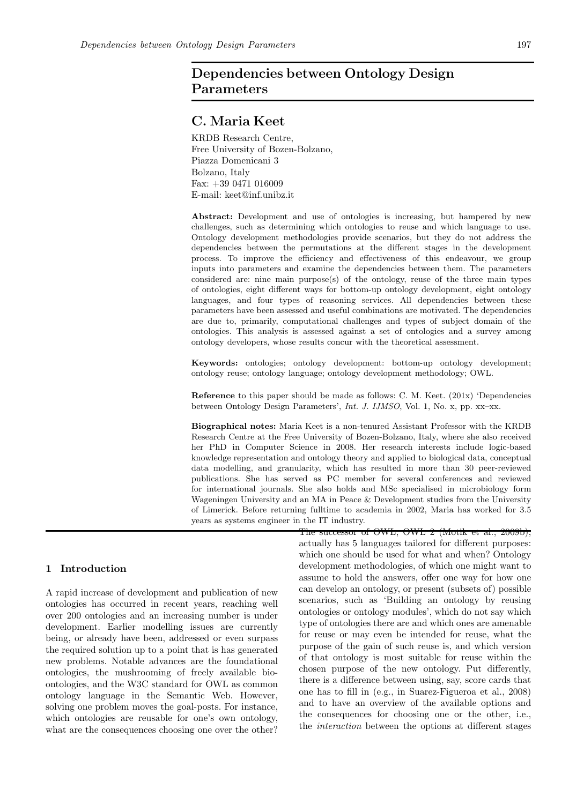# Dependencies between Ontology Design Parameters

# C. Maria Keet

KRDB Research Centre, Free University of Bozen-Bolzano, Piazza Domenicani 3 Bolzano, Italy Fax: +39 0471 016009 E-mail: keet@inf.unibz.it

Abstract: Development and use of ontologies is increasing, but hampered by new challenges, such as determining which ontologies to reuse and which language to use. Ontology development methodologies provide scenarios, but they do not address the dependencies between the permutations at the different stages in the development process. To improve the efficiency and effectiveness of this endeavour, we group inputs into parameters and examine the dependencies between them. The parameters considered are: nine main  $\text{purpose}(s)$  of the ontology, reuse of the three main types of ontologies, eight different ways for bottom-up ontology development, eight ontology languages, and four types of reasoning services. All dependencies between these parameters have been assessed and useful combinations are motivated. The dependencies are due to, primarily, computational challenges and types of subject domain of the ontologies. This analysis is assessed against a set of ontologies and a survey among ontology developers, whose results concur with the theoretical assessment.

Keywords: ontologies; ontology development: bottom-up ontology development; ontology reuse; ontology language; ontology development methodology; OWL.

Reference to this paper should be made as follows: C. M. Keet. (201x) 'Dependencies between Ontology Design Parameters', Int. J. IJMSO, Vol. 1, No. x, pp. xx–xx.

Biographical notes: Maria Keet is a non-tenured Assistant Professor with the KRDB Research Centre at the Free University of Bozen-Bolzano, Italy, where she also received her PhD in Computer Science in 2008. Her research interests include logic-based knowledge representation and ontology theory and applied to biological data, conceptual data modelling, and granularity, which has resulted in more than 30 peer-reviewed publications. She has served as PC member for several conferences and reviewed for international journals. She also holds and MSc specialised in microbiology form Wageningen University and an MA in Peace & Development studies from the University of Limerick. Before returning fulltime to academia in 2002, Maria has worked for 3.5 years as systems engineer in the IT industry.

# 1 Introduction

A rapid increase of development and publication of new ontologies has occurred in recent years, reaching well over 200 ontologies and an increasing number is under development. Earlier modelling issues are currently being, or already have been, addressed or even surpass the required solution up to a point that is has generated new problems. Notable advances are the foundational ontologies, the mushrooming of freely available bioontologies, and the W3C standard for OWL as common ontology language in the Semantic Web. However, solving one problem moves the goal-posts. For instance, which ontologies are reusable for one's own ontology, what are the consequences choosing one over the other?

The successor of OWL, OWL 2 (Motik et al., 2009b), actually has 5 languages tailored for different purposes: which one should be used for what and when? Ontology development methodologies, of which one might want to assume to hold the answers, offer one way for how one can develop an ontology, or present (subsets of) possible scenarios, such as 'Building an ontology by reusing ontologies or ontology modules', which do not say which type of ontologies there are and which ones are amenable for reuse or may even be intended for reuse, what the purpose of the gain of such reuse is, and which version of that ontology is most suitable for reuse within the chosen purpose of the new ontology. Put differently, there is a difference between using, say, score cards that one has to fill in (e.g., in Suarez-Figueroa et al., 2008) and to have an overview of the available options and the consequences for choosing one or the other, i.e., the interaction between the options at different stages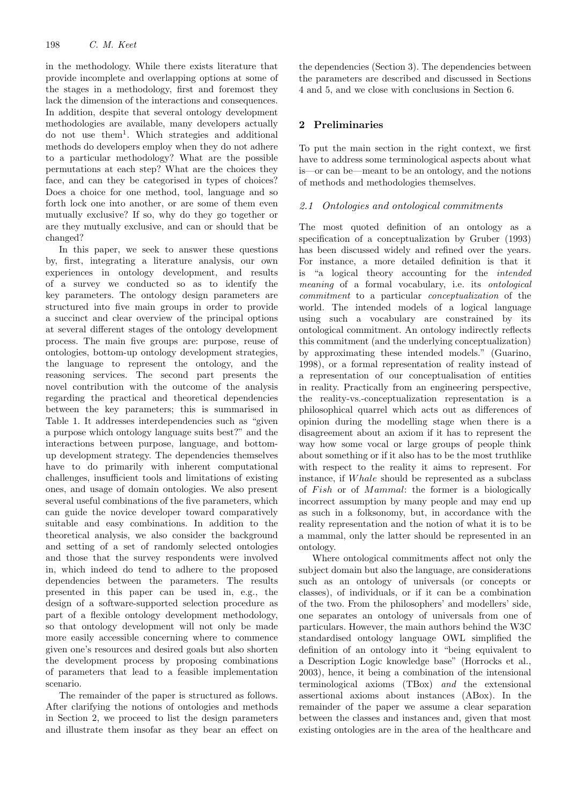in the methodology. While there exists literature that provide incomplete and overlapping options at some of the stages in a methodology, first and foremost they lack the dimension of the interactions and consequences. In addition, despite that several ontology development methodologies are available, many developers actually do not use them<sup>1</sup> . Which strategies and additional methods do developers employ when they do not adhere to a particular methodology? What are the possible permutations at each step? What are the choices they face, and can they be categorised in types of choices? Does a choice for one method, tool, language and so forth lock one into another, or are some of them even mutually exclusive? If so, why do they go together or are they mutually exclusive, and can or should that be changed?

In this paper, we seek to answer these questions by, first, integrating a literature analysis, our own experiences in ontology development, and results of a survey we conducted so as to identify the key parameters. The ontology design parameters are structured into five main groups in order to provide a succinct and clear overview of the principal options at several different stages of the ontology development process. The main five groups are: purpose, reuse of ontologies, bottom-up ontology development strategies, the language to represent the ontology, and the reasoning services. The second part presents the novel contribution with the outcome of the analysis regarding the practical and theoretical dependencies between the key parameters; this is summarised in Table 1. It addresses interdependencies such as "given a purpose which ontology language suits best?" and the interactions between purpose, language, and bottomup development strategy. The dependencies themselves have to do primarily with inherent computational challenges, insufficient tools and limitations of existing ones, and usage of domain ontologies. We also present several useful combinations of the five parameters, which can guide the novice developer toward comparatively suitable and easy combinations. In addition to the theoretical analysis, we also consider the background and setting of a set of randomly selected ontologies and those that the survey respondents were involved in, which indeed do tend to adhere to the proposed dependencies between the parameters. The results presented in this paper can be used in, e.g., the design of a software-supported selection procedure as part of a flexible ontology development methodology, so that ontology development will not only be made more easily accessible concerning where to commence given one's resources and desired goals but also shorten the development process by proposing combinations of parameters that lead to a feasible implementation scenario.

The remainder of the paper is structured as follows. After clarifying the notions of ontologies and methods in Section 2, we proceed to list the design parameters and illustrate them insofar as they bear an effect on

the dependencies (Section 3). The dependencies between the parameters are described and discussed in Sections 4 and 5, and we close with conclusions in Section 6.

# 2 Preliminaries

To put the main section in the right context, we first have to address some terminological aspects about what is—or can be—meant to be an ontology, and the notions of methods and methodologies themselves.

# 2.1 Ontologies and ontological commitments

The most quoted definition of an ontology as a specification of a conceptualization by Gruber (1993) has been discussed widely and refined over the years. For instance, a more detailed definition is that it is "a logical theory accounting for the intended meaning of a formal vocabulary, i.e. its ontological commitment to a particular conceptualization of the world. The intended models of a logical language using such a vocabulary are constrained by its ontological commitment. An ontology indirectly reflects this commitment (and the underlying conceptualization) by approximating these intended models." (Guarino, 1998), or a formal representation of reality instead of a representation of our conceptualisation of entities in reality. Practically from an engineering perspective, the reality-vs.-conceptualization representation is a philosophical quarrel which acts out as differences of opinion during the modelling stage when there is a disagreement about an axiom if it has to represent the way how some vocal or large groups of people think about something or if it also has to be the most truthlike with respect to the reality it aims to represent. For instance, if *Whale* should be represented as a subclass of  $Fish$  or of *Mammal*: the former is a biologically incorrect assumption by many people and may end up as such in a folksonomy, but, in accordance with the reality representation and the notion of what it is to be a mammal, only the latter should be represented in an ontology.

Where ontological commitments affect not only the subject domain but also the language, are considerations such as an ontology of universals (or concepts or classes), of individuals, or if it can be a combination of the two. From the philosophers' and modellers' side, one separates an ontology of universals from one of particulars. However, the main authors behind the W3C standardised ontology language OWL simplified the definition of an ontology into it "being equivalent to a Description Logic knowledge base" (Horrocks et al., 2003), hence, it being a combination of the intensional terminological axioms (TBox) and the extensional assertional axioms about instances (ABox). In the remainder of the paper we assume a clear separation between the classes and instances and, given that most existing ontologies are in the area of the healthcare and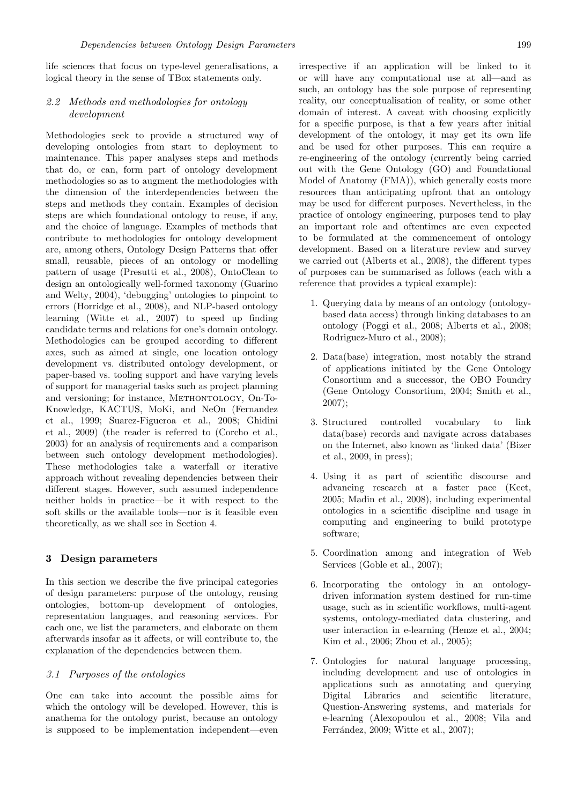life sciences that focus on type-level generalisations, a logical theory in the sense of TBox statements only.

# 2.2 Methods and methodologies for ontology development

Methodologies seek to provide a structured way of developing ontologies from start to deployment to maintenance. This paper analyses steps and methods that do, or can, form part of ontology development methodologies so as to augment the methodologies with the dimension of the interdependencies between the steps and methods they contain. Examples of decision steps are which foundational ontology to reuse, if any, and the choice of language. Examples of methods that contribute to methodologies for ontology development are, among others, Ontology Design Patterns that offer small, reusable, pieces of an ontology or modelling pattern of usage (Presutti et al., 2008), OntoClean to design an ontologically well-formed taxonomy (Guarino and Welty, 2004), 'debugging' ontologies to pinpoint to errors (Horridge et al., 2008), and NLP-based ontology learning (Witte et al., 2007) to speed up finding candidate terms and relations for one's domain ontology. Methodologies can be grouped according to different axes, such as aimed at single, one location ontology development vs. distributed ontology development, or paper-based vs. tooling support and have varying levels of support for managerial tasks such as project planning and versioning; for instance, METHONTOLOGY, On-To-Knowledge, KACTUS, MoKi, and NeOn (Fernandez et al., 1999; Suarez-Figueroa et al., 2008; Ghidini et al., 2009) (the reader is referred to (Corcho et al., 2003) for an analysis of requirements and a comparison between such ontology development methodologies). These methodologies take a waterfall or iterative approach without revealing dependencies between their different stages. However, such assumed independence neither holds in practice—be it with respect to the soft skills or the available tools—nor is it feasible even theoretically, as we shall see in Section 4.

### 3 Design parameters

In this section we describe the five principal categories of design parameters: purpose of the ontology, reusing ontologies, bottom-up development of ontologies, representation languages, and reasoning services. For each one, we list the parameters, and elaborate on them afterwards insofar as it affects, or will contribute to, the explanation of the dependencies between them.

### 3.1 Purposes of the ontologies

One can take into account the possible aims for which the ontology will be developed. However, this is anathema for the ontology purist, because an ontology is supposed to be implementation independent—even irrespective if an application will be linked to it or will have any computational use at all—and as such, an ontology has the sole purpose of representing reality, our conceptualisation of reality, or some other domain of interest. A caveat with choosing explicitly for a specific purpose, is that a few years after initial development of the ontology, it may get its own life and be used for other purposes. This can require a re-engineering of the ontology (currently being carried out with the Gene Ontology (GO) and Foundational Model of Anatomy (FMA)), which generally costs more resources than anticipating upfront that an ontology may be used for different purposes. Nevertheless, in the practice of ontology engineering, purposes tend to play an important role and oftentimes are even expected to be formulated at the commencement of ontology development. Based on a literature review and survey we carried out (Alberts et al., 2008), the different types of purposes can be summarised as follows (each with a reference that provides a typical example):

- 1. Querying data by means of an ontology (ontologybased data access) through linking databases to an ontology (Poggi et al., 2008; Alberts et al., 2008; Rodriguez-Muro et al., 2008);
- 2. Data(base) integration, most notably the strand of applications initiated by the Gene Ontology Consortium and a successor, the OBO Foundry (Gene Ontology Consortium, 2004; Smith et al., 2007);
- 3. Structured controlled vocabulary to link data(base) records and navigate across databases on the Internet, also known as 'linked data' (Bizer et al., 2009, in press);
- 4. Using it as part of scientific discourse and advancing research at a faster pace (Keet, 2005; Madin et al., 2008), including experimental ontologies in a scientific discipline and usage in computing and engineering to build prototype software;
- 5. Coordination among and integration of Web Services (Goble et al., 2007);
- 6. Incorporating the ontology in an ontologydriven information system destined for run-time usage, such as in scientific workflows, multi-agent systems, ontology-mediated data clustering, and user interaction in e-learning (Henze et al., 2004; Kim et al., 2006; Zhou et al., 2005);
- 7. Ontologies for natural language processing, including development and use of ontologies in applications such as annotating and querying Digital Libraries and scientific literature, Question-Answering systems, and materials for e-learning (Alexopoulou et al., 2008; Vila and Ferrández, 2009; Witte et al., 2007);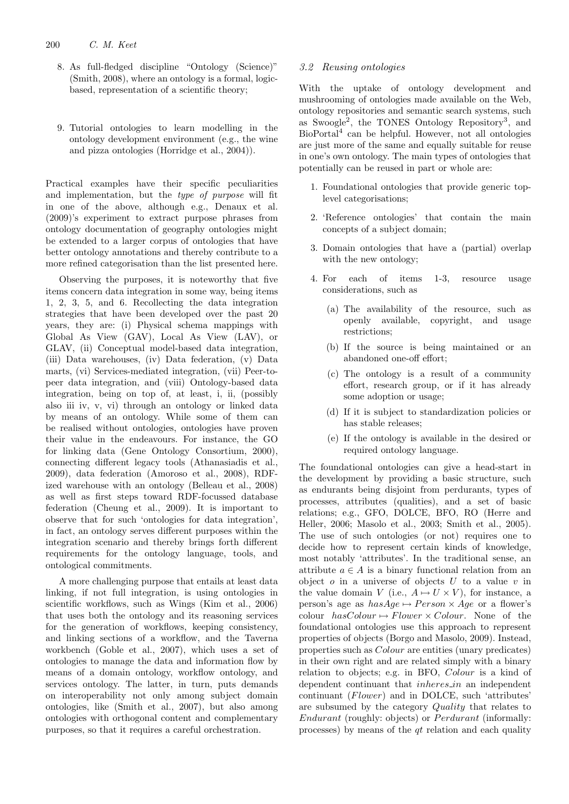- 8. As full-fledged discipline "Ontology (Science)" (Smith, 2008), where an ontology is a formal, logicbased, representation of a scientific theory;
- 9. Tutorial ontologies to learn modelling in the ontology development environment (e.g., the wine and pizza ontologies (Horridge et al., 2004)).

Practical examples have their specific peculiarities and implementation, but the type of purpose will fit in one of the above, although e.g., Denaux et al. (2009)'s experiment to extract purpose phrases from ontology documentation of geography ontologies might be extended to a larger corpus of ontologies that have better ontology annotations and thereby contribute to a more refined categorisation than the list presented here.

Observing the purposes, it is noteworthy that five items concern data integration in some way, being items 1, 2, 3, 5, and 6. Recollecting the data integration strategies that have been developed over the past 20 years, they are: (i) Physical schema mappings with Global As View (GAV), Local As View (LAV), or GLAV, (ii) Conceptual model-based data integration, (iii) Data warehouses, (iv) Data federation, (v) Data marts, (vi) Services-mediated integration, (vii) Peer-topeer data integration, and (viii) Ontology-based data integration, being on top of, at least, i, ii, (possibly also iii iv, v, vi) through an ontology or linked data by means of an ontology. While some of them can be realised without ontologies, ontologies have proven their value in the endeavours. For instance, the GO for linking data (Gene Ontology Consortium, 2000), connecting different legacy tools (Athanasiadis et al., 2009), data federation (Amoroso et al., 2008), RDFized warehouse with an ontology (Belleau et al., 2008) as well as first steps toward RDF-focussed database federation (Cheung et al., 2009). It is important to observe that for such 'ontologies for data integration', in fact, an ontology serves different purposes within the integration scenario and thereby brings forth different requirements for the ontology language, tools, and ontological commitments.

A more challenging purpose that entails at least data linking, if not full integration, is using ontologies in scientific workflows, such as Wings (Kim et al., 2006) that uses both the ontology and its reasoning services for the generation of workflows, keeping consistency, and linking sections of a workflow, and the Taverna workbench (Goble et al., 2007), which uses a set of ontologies to manage the data and information flow by means of a domain ontology, workflow ontology, and services ontology. The latter, in turn, puts demands on interoperability not only among subject domain ontologies, like (Smith et al., 2007), but also among ontologies with orthogonal content and complementary purposes, so that it requires a careful orchestration.

# 3.2 Reusing ontologies

With the uptake of ontology development and mushrooming of ontologies made available on the Web, ontology repositories and semantic search systems, such as Swoogle<sup>2</sup> , the TONES Ontology Repository<sup>3</sup> , and BioPortal<sup>4</sup> can be helpful. However, not all ontologies are just more of the same and equally suitable for reuse in one's own ontology. The main types of ontologies that potentially can be reused in part or whole are:

- 1. Foundational ontologies that provide generic toplevel categorisations;
- 2. 'Reference ontologies' that contain the main concepts of a subject domain;
- 3. Domain ontologies that have a (partial) overlap with the new ontology;
- 4. For each of items 1-3, resource usage considerations, such as
	- (a) The availability of the resource, such as openly available, copyright, and usage restrictions;
	- (b) If the source is being maintained or an abandoned one-off effort;
	- (c) The ontology is a result of a community effort, research group, or if it has already some adoption or usage;
	- (d) If it is subject to standardization policies or has stable releases;
	- (e) If the ontology is available in the desired or required ontology language.

The foundational ontologies can give a head-start in the development by providing a basic structure, such as endurants being disjoint from perdurants, types of processes, attributes (qualities), and a set of basic relations; e.g., GFO, DOLCE, BFO, RO (Herre and Heller, 2006; Masolo et al., 2003; Smith et al., 2005). The use of such ontologies (or not) requires one to decide how to represent certain kinds of knowledge, most notably 'attributes'. In the traditional sense, an attribute  $a \in A$  is a binary functional relation from an object  $o$  in a universe of objects  $U$  to a value  $v$  in the value domain V (i.e.,  $A \mapsto U \times V$ ), for instance, a person's age as  $hasAge \mapsto Person \times Age$  or a flower's colour  $hasColor \rightarrow Flower \times Color$ . None of the foundational ontologies use this approach to represent properties of objects (Borgo and Masolo, 2009). Instead, properties such as Colour are entities (unary predicates) in their own right and are related simply with a binary relation to objects; e.g. in BFO, Colour is a kind of dependent continuant that *inheres in* an independent continuant (Flower) and in DOLCE, such 'attributes' are subsumed by the category Quality that relates to Endurant (roughly: objects) or  $Perdurant$  (informally: processes) by means of the  $qt$  relation and each quality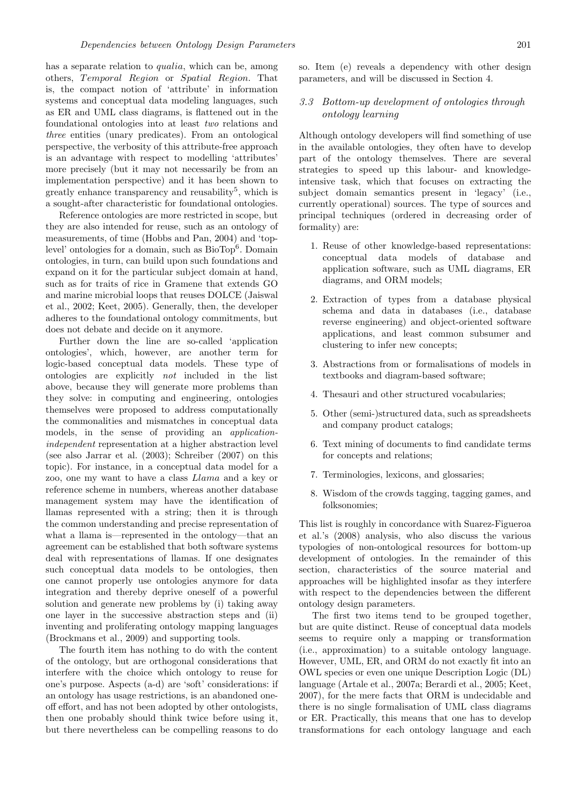has a separate relation to *qualia*, which can be, among others, Temporal Region or Spatial Region. That is, the compact notion of 'attribute' in information systems and conceptual data modeling languages, such as ER and UML class diagrams, is flattened out in the foundational ontologies into at least two relations and three entities (unary predicates). From an ontological perspective, the verbosity of this attribute-free approach is an advantage with respect to modelling 'attributes' more precisely (but it may not necessarily be from an implementation perspective) and it has been shown to greatly enhance transparency and reusability<sup>5</sup>, which is a sought-after characteristic for foundational ontologies.

Reference ontologies are more restricted in scope, but they are also intended for reuse, such as an ontology of measurements, of time (Hobbs and Pan, 2004) and 'toplevel' ontologies for a domain, such as BioTop<sup>6</sup>. Domain ontologies, in turn, can build upon such foundations and expand on it for the particular subject domain at hand, such as for traits of rice in Gramene that extends GO and marine microbial loops that reuses DOLCE (Jaiswal et al., 2002; Keet, 2005). Generally, then, the developer adheres to the foundational ontology commitments, but does not debate and decide on it anymore.

Further down the line are so-called 'application ontologies', which, however, are another term for logic-based conceptual data models. These type of ontologies are explicitly not included in the list above, because they will generate more problems than they solve: in computing and engineering, ontologies themselves were proposed to address computationally the commonalities and mismatches in conceptual data models, in the sense of providing an applicationindependent representation at a higher abstraction level (see also Jarrar et al. (2003); Schreiber (2007) on this topic). For instance, in a conceptual data model for a zoo, one my want to have a class Llama and a key or reference scheme in numbers, whereas another database management system may have the identification of llamas represented with a string; then it is through the common understanding and precise representation of what a llama is—represented in the ontology—that an agreement can be established that both software systems deal with representations of llamas. If one designates such conceptual data models to be ontologies, then one cannot properly use ontologies anymore for data integration and thereby deprive oneself of a powerful solution and generate new problems by (i) taking away one layer in the successive abstraction steps and (ii) inventing and proliferating ontology mapping languages (Brockmans et al., 2009) and supporting tools.

The fourth item has nothing to do with the content of the ontology, but are orthogonal considerations that interfere with the choice which ontology to reuse for one's purpose. Aspects (a-d) are 'soft' considerations: if an ontology has usage restrictions, is an abandoned oneoff effort, and has not been adopted by other ontologists, then one probably should think twice before using it, but there nevertheless can be compelling reasons to do so. Item (e) reveals a dependency with other design parameters, and will be discussed in Section 4.

# 3.3 Bottom-up development of ontologies through ontology learning

Although ontology developers will find something of use in the available ontologies, they often have to develop part of the ontology themselves. There are several strategies to speed up this labour- and knowledgeintensive task, which that focuses on extracting the subject domain semantics present in 'legacy' (i.e., currently operational) sources. The type of sources and principal techniques (ordered in decreasing order of formality) are:

- 1. Reuse of other knowledge-based representations: conceptual data models of database and application software, such as UML diagrams, ER diagrams, and ORM models;
- 2. Extraction of types from a database physical schema and data in databases (i.e., database reverse engineering) and object-oriented software applications, and least common subsumer and clustering to infer new concepts;
- 3. Abstractions from or formalisations of models in textbooks and diagram-based software;
- 4. Thesauri and other structured vocabularies;
- 5. Other (semi-)structured data, such as spreadsheets and company product catalogs;
- 6. Text mining of documents to find candidate terms for concepts and relations;
- 7. Terminologies, lexicons, and glossaries;
- 8. Wisdom of the crowds tagging, tagging games, and folksonomies;

This list is roughly in concordance with Suarez-Figueroa et al.'s (2008) analysis, who also discuss the various typologies of non-ontological resources for bottom-up development of ontologies. In the remainder of this section, characteristics of the source material and approaches will be highlighted insofar as they interfere with respect to the dependencies between the different ontology design parameters.

The first two items tend to be grouped together, but are quite distinct. Reuse of conceptual data models seems to require only a mapping or transformation (i.e., approximation) to a suitable ontology language. However, UML, ER, and ORM do not exactly fit into an OWL species or even one unique Description Logic (DL) language (Artale et al., 2007a; Berardi et al., 2005; Keet, 2007), for the mere facts that ORM is undecidable and there is no single formalisation of UML class diagrams or ER. Practically, this means that one has to develop transformations for each ontology language and each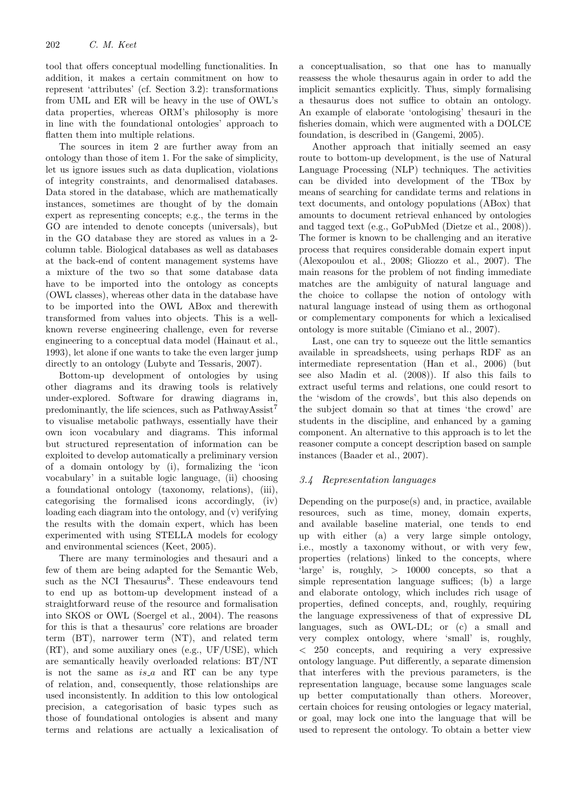tool that offers conceptual modelling functionalities. In addition, it makes a certain commitment on how to represent 'attributes' (cf. Section 3.2): transformations from UML and ER will be heavy in the use of OWL's data properties, whereas ORM's philosophy is more in line with the foundational ontologies' approach to flatten them into multiple relations.

The sources in item 2 are further away from an ontology than those of item 1. For the sake of simplicity, let us ignore issues such as data duplication, violations of integrity constraints, and denormalised databases. Data stored in the database, which are mathematically instances, sometimes are thought of by the domain expert as representing concepts; e.g., the terms in the GO are intended to denote concepts (universals), but in the GO database they are stored as values in a 2 column table. Biological databases as well as databases at the back-end of content management systems have a mixture of the two so that some database data have to be imported into the ontology as concepts (OWL classes), whereas other data in the database have to be imported into the OWL ABox and therewith transformed from values into objects. This is a wellknown reverse engineering challenge, even for reverse engineering to a conceptual data model (Hainaut et al., 1993), let alone if one wants to take the even larger jump directly to an ontology (Lubyte and Tessaris, 2007).

Bottom-up development of ontologies by using other diagrams and its drawing tools is relatively under-explored. Software for drawing diagrams in, predominantly, the life sciences, such as PathwayAssist<sup>7</sup> to visualise metabolic pathways, essentially have their own icon vocabulary and diagrams. This informal but structured representation of information can be exploited to develop automatically a preliminary version of a domain ontology by (i), formalizing the 'icon vocabulary' in a suitable logic language, (ii) choosing a foundational ontology (taxonomy, relations), (iii), categorising the formalised icons accordingly, (iv) loading each diagram into the ontology, and (v) verifying the results with the domain expert, which has been experimented with using STELLA models for ecology and environmental sciences (Keet, 2005).

There are many terminologies and thesauri and a few of them are being adapted for the Semantic Web, such as the NCI Thesaurus<sup>8</sup>. These endeavours tend to end up as bottom-up development instead of a straightforward reuse of the resource and formalisation into SKOS or OWL (Soergel et al., 2004). The reasons for this is that a thesaurus' core relations are broader term (BT), narrower term (NT), and related term (RT), and some auxiliary ones (e.g., UF/USE), which are semantically heavily overloaded relations: BT/NT is not the same as  $is-a$  and RT can be any type of relation, and, consequently, those relationships are used inconsistently. In addition to this low ontological precision, a categorisation of basic types such as those of foundational ontologies is absent and many terms and relations are actually a lexicalisation of

a conceptualisation, so that one has to manually reassess the whole thesaurus again in order to add the implicit semantics explicitly. Thus, simply formalising a thesaurus does not suffice to obtain an ontology. An example of elaborate 'ontologising' thesauri in the fisheries domain, which were augmented with a DOLCE foundation, is described in (Gangemi, 2005).

Another approach that initially seemed an easy route to bottom-up development, is the use of Natural Language Processing (NLP) techniques. The activities can be divided into development of the TBox by means of searching for candidate terms and relations in text documents, and ontology populations (ABox) that amounts to document retrieval enhanced by ontologies and tagged text (e.g., GoPubMed (Dietze et al., 2008)). The former is known to be challenging and an iterative process that requires considerable domain expert input (Alexopoulou et al., 2008; Gliozzo et al., 2007). The main reasons for the problem of not finding immediate matches are the ambiguity of natural language and the choice to collapse the notion of ontology with natural language instead of using them as orthogonal or complementary components for which a lexicalised ontology is more suitable (Cimiano et al., 2007).

Last, one can try to squeeze out the little semantics available in spreadsheets, using perhaps RDF as an intermediate representation (Han et al., 2006) (but see also Madin et al. (2008)). If also this fails to extract useful terms and relations, one could resort to the 'wisdom of the crowds', but this also depends on the subject domain so that at times 'the crowd' are students in the discipline, and enhanced by a gaming component. An alternative to this approach is to let the reasoner compute a concept description based on sample instances (Baader et al., 2007).

# 3.4 Representation languages

Depending on the purpose(s) and, in practice, available resources, such as time, money, domain experts, and available baseline material, one tends to end up with either (a) a very large simple ontology, i.e., mostly a taxonomy without, or with very few, properties (relations) linked to the concepts, where 'large' is, roughly, > 10000 concepts, so that a simple representation language suffices; (b) a large and elaborate ontology, which includes rich usage of properties, defined concepts, and, roughly, requiring the language expressiveness of that of expressive DL languages, such as OWL-DL; or (c) a small and very complex ontology, where 'small' is, roughly, < 250 concepts, and requiring a very expressive ontology language. Put differently, a separate dimension that interferes with the previous parameters, is the representation language, because some languages scale up better computationally than others. Moreover, certain choices for reusing ontologies or legacy material, or goal, may lock one into the language that will be used to represent the ontology. To obtain a better view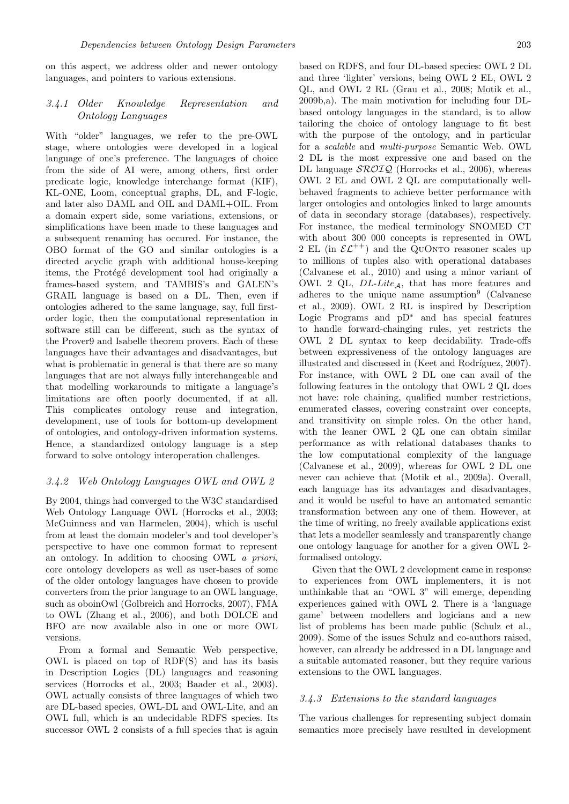on this aspect, we address older and newer ontology languages, and pointers to various extensions.

# 3.4.1 Older Knowledge Representation and Ontology Languages

With "older" languages, we refer to the pre-OWL stage, where ontologies were developed in a logical language of one's preference. The languages of choice from the side of AI were, among others, first order predicate logic, knowledge interchange format (KIF), KL-ONE, Loom, conceptual graphs, DL, and F-logic, and later also DAML and OIL and DAML+OIL. From a domain expert side, some variations, extensions, or simplifications have been made to these languages and a subsequent renaming has occured. For instance, the OBO format of the GO and similar ontologies is a directed acyclic graph with additional house-keeping items, the Protégé development tool had originally a frames-based system, and TAMBIS's and GALEN's GRAIL language is based on a DL. Then, even if ontologies adhered to the same language, say, full firstorder logic, then the computational representation in software still can be different, such as the syntax of the Prover9 and Isabelle theorem provers. Each of these languages have their advantages and disadvantages, but what is problematic in general is that there are so many languages that are not always fully interchangeable and that modelling workarounds to mitigate a language's limitations are often poorly documented, if at all. This complicates ontology reuse and integration, development, use of tools for bottom-up development of ontologies, and ontology-driven information systems. Hence, a standardized ontology language is a step forward to solve ontology interoperation challenges.

### 3.4.2 Web Ontology Languages OWL and OWL 2

By 2004, things had converged to the W3C standardised Web Ontology Language OWL (Horrocks et al., 2003; McGuinness and van Harmelen, 2004), which is useful from at least the domain modeler's and tool developer's perspective to have one common format to represent an ontology. In addition to choosing OWL a priori, core ontology developers as well as user-bases of some of the older ontology languages have chosen to provide converters from the prior language to an OWL language, such as oboinOwl (Golbreich and Horrocks, 2007), FMA to OWL (Zhang et al., 2006), and both DOLCE and BFO are now available also in one or more OWL versions.

From a formal and Semantic Web perspective, OWL is placed on top of RDF(S) and has its basis in Description Logics (DL) languages and reasoning services (Horrocks et al., 2003; Baader et al., 2003). OWL actually consists of three languages of which two are DL-based species, OWL-DL and OWL-Lite, and an OWL full, which is an undecidable RDFS species. Its successor OWL 2 consists of a full species that is again

based on RDFS, and four DL-based species: OWL 2 DL and three 'lighter' versions, being OWL 2 EL, OWL 2 QL, and OWL 2 RL (Grau et al., 2008; Motik et al., 2009b,a). The main motivation for including four DLbased ontology languages in the standard, is to allow tailoring the choice of ontology language to fit best with the purpose of the ontology, and in particular for a scalable and multi-purpose Semantic Web. OWL 2 DL is the most expressive one and based on the DL language  $\mathcal{SROIQ}$  (Horrocks et al., 2006), whereas OWL 2 EL and OWL 2 QL are computationally wellbehaved fragments to achieve better performance with larger ontologies and ontologies linked to large amounts of data in secondary storage (databases), respectively. For instance, the medical terminology SNOMED CT with about 300 000 concepts is represented in OWL 2 EL (in  $\mathcal{EL}^{++}$ ) and the QUONTO reasoner scales up to millions of tuples also with operational databases (Calvanese et al., 2010) and using a minor variant of OWL 2 QL,  $DL\text{-}Lite_A$ , that has more features and adheres to the unique name  $assumption<sup>9</sup>$  (Calvanese et al., 2009). OWL 2 RL is inspired by Description Logic Programs and pD<sup>∗</sup> and has special features to handle forward-chainging rules, yet restricts the OWL 2 DL syntax to keep decidability. Trade-offs between expressiveness of the ontology languages are illustrated and discussed in (Keet and Rodríguez, 2007). For instance, with OWL 2 DL one can avail of the following features in the ontology that OWL 2 QL does not have: role chaining, qualified number restrictions, enumerated classes, covering constraint over concepts, and transitivity on simple roles. On the other hand, with the leaner OWL 2 QL one can obtain similar performance as with relational databases thanks to the low computational complexity of the language (Calvanese et al., 2009), whereas for OWL 2 DL one never can achieve that (Motik et al., 2009a). Overall, each language has its advantages and disadvantages, and it would be useful to have an automated semantic transformation between any one of them. However, at the time of writing, no freely available applications exist that lets a modeller seamlessly and transparently change one ontology language for another for a given OWL 2 formalised ontology.

Given that the OWL 2 development came in response to experiences from OWL implementers, it is not unthinkable that an "OWL 3" will emerge, depending experiences gained with OWL 2. There is a 'language game' between modellers and logicians and a new list of problems has been made public (Schulz et al., 2009). Some of the issues Schulz and co-authors raised, however, can already be addressed in a DL language and a suitable automated reasoner, but they require various extensions to the OWL languages.

#### 3.4.3 Extensions to the standard languages

The various challenges for representing subject domain semantics more precisely have resulted in development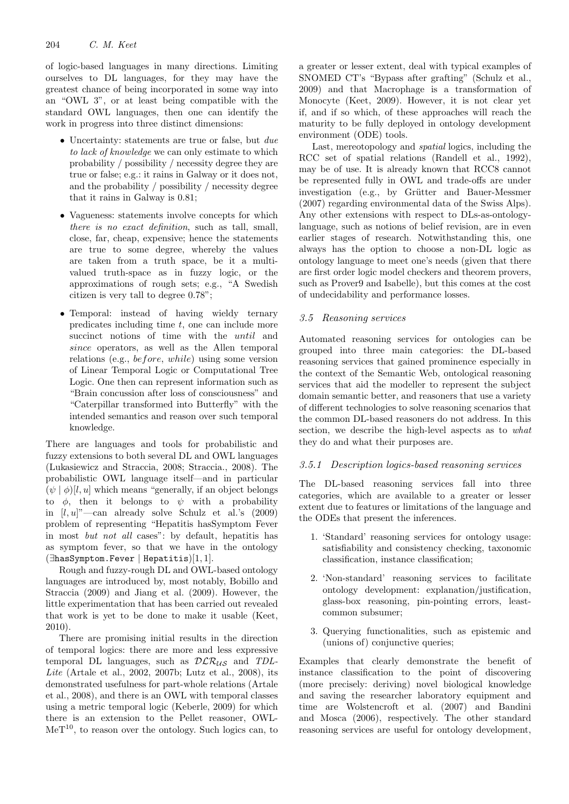# 204 C. M. Keet

of logic-based languages in many directions. Limiting ourselves to DL languages, for they may have the greatest chance of being incorporated in some way into an "OWL 3", or at least being compatible with the standard OWL languages, then one can identify the work in progress into three distinct dimensions:

- Uncertainty: statements are true or false, but due to lack of knowledge we can only estimate to which probability / possibility / necessity degree they are true or false; e.g.: it rains in Galway or it does not, and the probability / possibility / necessity degree that it rains in Galway is 0.81;
- Vagueness: statements involve concepts for which there is no exact definition, such as tall, small, close, far, cheap, expensive; hence the statements are true to some degree, whereby the values are taken from a truth space, be it a multivalued truth-space as in fuzzy logic, or the approximations of rough sets; e.g., "A Swedish citizen is very tall to degree 0.78";
- Temporal: instead of having wieldy ternary predicates including time  $t$ , one can include more succinct notions of time with the *until* and since operators, as well as the Allen temporal relations (e.g., before, while) using some version of Linear Temporal Logic or Computational Tree Logic. One then can represent information such as "Brain concussion after loss of consciousness" and "Caterpillar transformed into Butterfly" with the intended semantics and reason over such temporal knowledge.

There are languages and tools for probabilistic and fuzzy extensions to both several DL and OWL languages (Lukasiewicz and Straccia, 2008; Straccia., 2008). The probabilistic OWL language itself—and in particular  $(\psi | \phi)[l, u]$  which means "generally, if an object belongs" to  $\phi$ , then it belongs to  $\psi$  with a probability in  $[l, u]^n$ —can already solve Schulz et al.'s (2009) problem of representing "Hepatitis hasSymptom Fever in most but not all cases": by default, hepatitis has as symptom fever, so that we have in the ontology (∃hasSymptom.Fever | Hepatitis)[1, 1].

Rough and fuzzy-rough DL and OWL-based ontology languages are introduced by, most notably, Bobillo and Straccia (2009) and Jiang et al. (2009). However, the little experimentation that has been carried out revealed that work is yet to be done to make it usable (Keet, 2010).

There are promising initial results in the direction of temporal logics: there are more and less expressive temporal DL languages, such as  $DLR_{US}$  and TDL-Lite (Artale et al., 2002, 2007b; Lutz et al., 2008), its demonstrated usefulness for part-whole relations (Artale et al., 2008), and there is an OWL with temporal classes using a metric temporal logic (Keberle, 2009) for which there is an extension to the Pellet reasoner, OWL- $MeT<sup>10</sup>$ , to reason over the ontology. Such logics can, to

a greater or lesser extent, deal with typical examples of SNOMED CT's "Bypass after grafting" (Schulz et al., 2009) and that Macrophage is a transformation of Monocyte (Keet, 2009). However, it is not clear yet if, and if so which, of these approaches will reach the maturity to be fully deployed in ontology development environment (ODE) tools.

Last, mereotopology and spatial logics, including the RCC set of spatial relations (Randell et al., 1992), may be of use. It is already known that RCC8 cannot be represented fully in OWL and trade-offs are under investigation (e.g., by Grütter and Bauer-Messmer (2007) regarding environmental data of the Swiss Alps). Any other extensions with respect to DLs-as-ontologylanguage, such as notions of belief revision, are in even earlier stages of research. Notwithstanding this, one always has the option to choose a non-DL logic as ontology language to meet one's needs (given that there are first order logic model checkers and theorem provers, such as Prover9 and Isabelle), but this comes at the cost of undecidability and performance losses.

# 3.5 Reasoning services

Automated reasoning services for ontologies can be grouped into three main categories: the DL-based reasoning services that gained prominence especially in the context of the Semantic Web, ontological reasoning services that aid the modeller to represent the subject domain semantic better, and reasoners that use a variety of different technologies to solve reasoning scenarios that the common DL-based reasoners do not address. In this section, we describe the high-level aspects as to what they do and what their purposes are.

# 3.5.1 Description logics-based reasoning services

The DL-based reasoning services fall into three categories, which are available to a greater or lesser extent due to features or limitations of the language and the ODEs that present the inferences.

- 1. 'Standard' reasoning services for ontology usage: satisfiability and consistency checking, taxonomic classification, instance classification;
- 2. 'Non-standard' reasoning services to facilitate ontology development: explanation/justification, glass-box reasoning, pin-pointing errors, leastcommon subsumer;
- 3. Querying functionalities, such as epistemic and (unions of) conjunctive queries;

Examples that clearly demonstrate the benefit of instance classification to the point of discovering (more precisely: deriving) novel biological knowledge and saving the researcher laboratory equipment and time are Wolstencroft et al. (2007) and Bandini and Mosca (2006), respectively. The other standard reasoning services are useful for ontology development,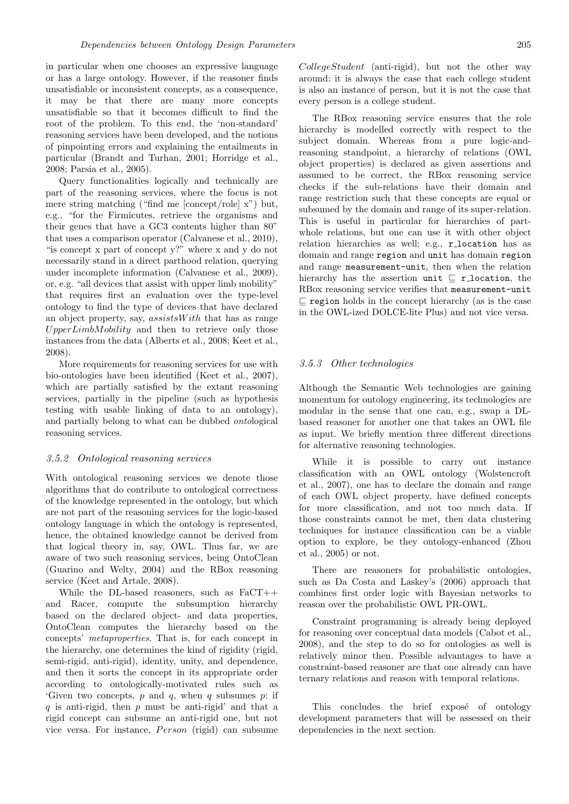in particular when one chooses an expressive language or has a large ontology. However, if the reasoner finds unsatisfiable or inconsistent concepts, as a consequence, it may be that there are many more concepts unsatisfiable so that it becomes difficult to find the root of the problem. To this end, the 'non-standard' reasoning services have been developed, and the notions of pinpointing errors and explaining the entailments in particular (Brandt and Turhan, 2001; Horridge et al., 2008; Parsia et al., 2005).

Query functionalities logically and technically are part of the reasoning services, where the focus is not mere string matching ("find me [concept/role] x") but, e.g., "for the Firmicutes, retrieve the organisms and their genes that have a GC3 contents higher than 80" that uses a comparison operator (Calvanese et al., 2010), "is concept x part of concept y?" where x and y do not necessarily stand in a direct parthood relation, querying under incomplete information (Calvanese et al., 2009), or, e.g. "all devices that assist with upper limb mobility" that requires first an evaluation over the type-level ontology to find the type of devices that have declared an object property, say, assistsW ith that has as range  $UpperLimbMobility$  and then to retrieve only those instances from the data (Alberts et al., 2008; Keet et al., 2008).

More requirements for reasoning services for use with bio-ontologies have been identified (Keet et al., 2007), which are partially satisfied by the extant reasoning services, partially in the pipeline (such as hypothesis testing with usable linking of data to an ontology), and partially belong to what can be dubbed ontological reasoning services.

#### 3.5.2 Ontological reasoning services

With ontological reasoning services we denote those algorithms that do contribute to ontological correctness of the knowledge represented in the ontology, but which are not part of the reasoning services for the logic-based ontology language in which the ontology is represented, hence, the obtained knowledge cannot be derived from that logical theory in, say, OWL. Thus far, we are aware of two such reasoning services, being OntoClean (Guarino and Welty, 2004) and the RBox reasoning service (Keet and Artale, 2008).

While the DL-based reasoners, such as FaCT++ and Racer, compute the subsumption hierarchy based on the declared object- and data properties, OntoClean computes the hierarchy based on the concepts' metaproperties. That is, for each concept in the hierarchy, one determines the kind of rigidity (rigid, semi-rigid, anti-rigid), identity, unity, and dependence, and then it sorts the concept in its appropriate order according to ontologically-motivated rules such as 'Given two concepts,  $p$  and  $q$ , when  $q$  subsumes  $p$ : if q is anti-rigid, then  $p$  must be anti-rigid' and that a rigid concept can subsume an anti-rigid one, but not vice versa. For instance, *Person* (rigid) can subsume  $Collectudent$  (anti-rigid), but not the other way around: it is always the case that each college student is also an instance of person, but it is not the case that every person is a college student.

The RBox reasoning service ensures that the role hierarchy is modelled correctly with respect to the subject domain. Whereas from a pure logic-andreasoning standpoint, a hierarchy of relations (OWL object properties) is declared as given assertions and assumed to be correct, the RBox reasoning service checks if the sub-relations have their domain and range restriction such that these concepts are equal or subsumed by the domain and range of its super-relation. This is useful in particular for hierarchies of partwhole relations, but one can use it with other object relation hierarchies as well; e.g., r\_location has as domain and range region and unit has domain region and range measurement-unit, then when the relation hierarchy has the assertion unit  $\subseteq$  r location, the RBox reasoning service verifies that measurement-unit  $\sqsubseteq$  region holds in the concept hierarchy (as is the case in the OWL-ized DOLCE-lite Plus) and not vice versa.

#### 3.5.3 Other technologies

Although the Semantic Web technologies are gaining momentum for ontology engineering, its technologies are modular in the sense that one can, e.g., swap a DLbased reasoner for another one that takes an OWL file as input. We briefly mention three different directions for alternative reasoning technologies.

While it is possible to carry out instance classification with an OWL ontology (Wolstencroft et al., 2007), one has to declare the domain and range of each OWL object property, have defined concepts for more classification, and not too much data. If those constraints cannot be met, then data clustering techniques for instance classification can be a viable option to explore, be they ontology-enhanced (Zhou et al., 2005) or not.

There are reasoners for probabilistic ontologies, such as Da Costa and Laskey's (2006) approach that combines first order logic with Bayesian networks to reason over the probabilistic OWL PR-OWL.

Constraint programming is already being deployed for reasoning over conceptual data models (Cabot et al., 2008), and the step to do so for ontologies as well is relatively minor then. Possible advantages to have a constraint-based reasoner are that one already can have ternary relations and reason with temporal relations.

This concludes the brief exposé of ontology development parameters that will be assessed on their dependencies in the next section.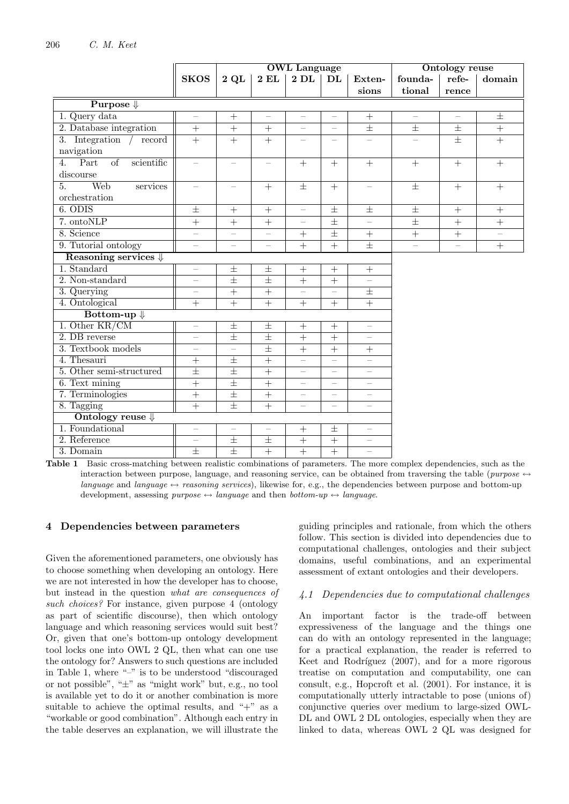|                                             |                          | <b>OWL</b> Language      |                          |                          |                          |                          | <b>Ontology reuse</b>    |                   |                  |
|---------------------------------------------|--------------------------|--------------------------|--------------------------|--------------------------|--------------------------|--------------------------|--------------------------|-------------------|------------------|
|                                             | <b>SKOS</b>              | $2$ QL                   | $2\,$ EL                 | $2\ \mathrm{DL}$         | DL                       | Exten-                   | founda-                  | refe-             | domain           |
|                                             |                          |                          |                          |                          |                          | sions                    | tional                   | rence             |                  |
| Purpose $\Downarrow$                        |                          |                          |                          |                          |                          |                          |                          |                   |                  |
| 1. Query data                               | $\qquad \qquad -$        | $\overline{+}$           | $\qquad \qquad -$        |                          | $\qquad \qquad -$        |                          | $\overline{\phantom{0}}$ | $\qquad \qquad -$ | $\pm$            |
| 2. Database integration                     | $\ddot{}$                | $\overline{+}$           | $\! + \!$                | $\overline{a}$           | $\overline{\phantom{m}}$ | $\overline{\pm}$         | $\pm$                    | $\pm$             | $\! + \!$        |
| 3. Integration $/$<br>record                | $+$                      | $+$                      | $+$                      |                          |                          |                          |                          | $+$               | $+$              |
| navigation                                  |                          |                          |                          |                          |                          |                          |                          |                   |                  |
| Part<br>$\overline{of}$<br>scientific<br>4. | $\equiv$                 | $\overline{\phantom{0}}$ | $\overline{\phantom{0}}$ |                          | $^{+}$                   | $\! + \!$                | $\boldsymbol{+}$         | $^{+}$            | $\boldsymbol{+}$ |
| discourse                                   |                          |                          |                          |                          |                          |                          |                          |                   |                  |
| Web<br>5.<br>services                       |                          |                          | $+$                      | $\pm$                    | $^{+}$                   |                          | $\pm$                    | $+$               | $+$              |
| orchestration                               |                          |                          |                          |                          |                          |                          |                          |                   |                  |
| $6.$ ODIS                                   | $\pm$                    | $\boldsymbol{+}$         | $\boldsymbol{+}$         | $\overline{\phantom{0}}$ | $\pm$                    | 土                        | $\pm$                    | $\boldsymbol{+}$  | $\boldsymbol{+}$ |
| 7. ontoNLP                                  | $^{+}$                   | $\overline{+}$           | $^{+}$                   | $\equiv$                 | $\pm$                    | $\equiv$                 | $\pm$                    | $^{+}$            | $^{+}$           |
| 8. Science                                  | $\equiv$                 | $\equiv$                 | $\overline{\phantom{0}}$ | $^{+}$                   | $\overline{\pm}$         | $\ddot{}$                | $\overline{+}$           | $^{+}$            | $\equiv$         |
| 9. Tutorial ontology                        |                          |                          | $\overline{\phantom{0}}$ | $\ddot{}$                | $\ddot{}$                | $\overline{\pm}$         |                          |                   |                  |
| Reasoning services $\Downarrow$             |                          |                          |                          |                          |                          |                          |                          |                   |                  |
| 1. Standard                                 | $\qquad \qquad -$        | $\pm$                    | 士                        | $\boldsymbol{+}$         | $\! + \!$                | $+$                      |                          |                   |                  |
| 2. Non-standard                             | $\overline{\phantom{0}}$ | $\overline{\pm}$         | $\overline{\pm}$         | $+$                      | $\overline{+}$           | $\overline{\phantom{0}}$ |                          |                   |                  |
| $\overline{3}$ . Querying                   | $\equiv$                 | $\overline{+}$           | $\! + \!$                | $\equiv$                 | $\equiv$                 | $\overline{\pm}$         |                          |                   |                  |
| 4. Ontological                              | $+$                      | $\overline{+}$           | $\overline{+}$           | $\! + \!$                | $+$                      |                          |                          |                   |                  |
| Bottom-up $\Downarrow$                      |                          |                          |                          |                          |                          |                          |                          |                   |                  |
| 1. Other KR/CM                              | $\overline{\phantom{0}}$ | $\pm$                    | $\pm$                    | $\boldsymbol{+}$         |                          | $\overline{\phantom{0}}$ |                          |                   |                  |
| $2.$ DB reverse                             | $\qquad \qquad -$        | $\overline{\pm}$         | $\overline{\pm}$         | $\overline{+}$           | $^{+}$                   | $\qquad \qquad -$        |                          |                   |                  |
| 3. Textbook models                          |                          |                          | $\pm$                    | $+$                      | $\overline{+}$           | $^{+}$                   |                          |                   |                  |
| 4. Thesauri                                 | $^{+}$                   | 士                        | $\overline{+}$           | $\equiv$                 | $\overline{\phantom{0}}$ |                          |                          |                   |                  |
| 5. Other semi-structured                    | $\overline{\pm}$         | $\pm$                    | $^{+}$                   |                          | $\overline{\phantom{m}}$ |                          |                          |                   |                  |
| 6. Text mining                              | $\overline{+}$           | 士                        | $+$                      |                          |                          |                          |                          |                   |                  |
| 7. Terminologies                            | $\overline{+}$           | $\overline{\pm}$         | $^{+}$                   |                          |                          | $\overline{\phantom{0}}$ |                          |                   |                  |
| $8.$ Tagging                                | $\overline{+}$           | $\overline{\pm}$         | $+$                      |                          |                          |                          |                          |                   |                  |
| Ontology reuse $\Downarrow$                 |                          |                          |                          |                          |                          |                          |                          |                   |                  |
| 1. Foundational                             |                          |                          | $\overline{\phantom{0}}$ | $+$                      | $\pm$                    | $\equiv$                 |                          |                   |                  |
| 2. Reference                                | $\overline{\phantom{0}}$ | $\overline{\pm}$         | $\overline{\pm}$         | $\overline{+}$           | $^{+}$                   | $\qquad \qquad -$        |                          |                   |                  |
| 3. Domain                                   | 士                        | $\overline{\pm}$         | $\overline{+}$           | $\overline{+}$           | $\overline{+}$           | $\equiv$                 |                          |                   |                  |

Table 1 Basic cross-matching between realistic combinations of parameters. The more complex dependencies, such as the interaction between purpose, language, and reasoning service, can be obtained from traversing the table (*purpose*  $\leftrightarrow$ language and language  $\leftrightarrow$  reasoning services), likewise for, e.g., the dependencies between purpose and bottom-up development, assessing  $\text{purpose} \leftrightarrow \text{language}$  and then bottom-up  $\leftrightarrow$  language.

### 4 Dependencies between parameters

Given the aforementioned parameters, one obviously has to choose something when developing an ontology. Here we are not interested in how the developer has to choose, but instead in the question what are consequences of such choices? For instance, given purpose 4 (ontology as part of scientific discourse), then which ontology language and which reasoning services would suit best? Or, given that one's bottom-up ontology development tool locks one into OWL 2 QL, then what can one use the ontology for? Answers to such questions are included in Table 1, where "–" is to be understood "discouraged or not possible", "±" as "might work" but, e.g., no tool is available yet to do it or another combination is more suitable to achieve the optimal results, and " $+$ " as a "workable or good combination". Although each entry in the table deserves an explanation, we will illustrate the guiding principles and rationale, from which the others follow. This section is divided into dependencies due to computational challenges, ontologies and their subject domains, useful combinations, and an experimental assessment of extant ontologies and their developers.

# 4.1 Dependencies due to computational challenges

An important factor is the trade-off between expressiveness of the language and the things one can do with an ontology represented in the language; for a practical explanation, the reader is referred to Keet and Rodríguez  $(2007)$ , and for a more rigorous treatise on computation and computability, one can consult, e.g., Hopcroft et al. (2001). For instance, it is computationally utterly intractable to pose (unions of) conjunctive queries over medium to large-sized OWL-DL and OWL 2 DL ontologies, especially when they are linked to data, whereas OWL 2 QL was designed for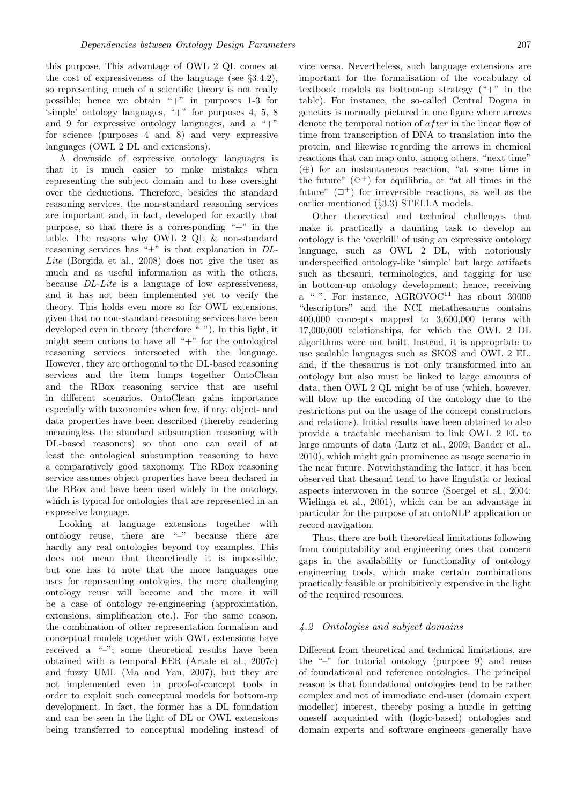this purpose. This advantage of OWL 2 QL comes at the cost of expressiveness of the language (see §3.4.2), so representing much of a scientific theory is not really possible; hence we obtain " $+$ " in purposes 1-3 for 'simple' ontology languages, "+" for purposes 4, 5, 8 and 9 for expressive ontology languages, and a "+" for science (purposes 4 and 8) and very expressive languages (OWL 2 DL and extensions).

A downside of expressive ontology languages is that it is much easier to make mistakes when representing the subject domain and to lose oversight over the deductions. Therefore, besides the standard reasoning services, the non-standard reasoning services are important and, in fact, developed for exactly that purpose, so that there is a corresponding " $+$ " in the table. The reasons why OWL 2 QL & non-standard reasoning services has " $\pm$ " is that explanation in DL-Lite (Borgida et al., 2008) does not give the user as much and as useful information as with the others, because DL-Lite is a language of low espressiveness, and it has not been implemented yet to verify the theory. This holds even more so for OWL extensions, given that no non-standard reasoning services have been developed even in theory (therefore "–"). In this light, it might seem curious to have all " $+$ " for the ontological reasoning services intersected with the language. However, they are orthogonal to the DL-based reasoning services and the item lumps together OntoClean and the RBox reasoning service that are useful in different scenarios. OntoClean gains importance especially with taxonomies when few, if any, object- and data properties have been described (thereby rendering meaningless the standard subsumption reasoning with DL-based reasoners) so that one can avail of at least the ontological subsumption reasoning to have a comparatively good taxonomy. The RBox reasoning service assumes object properties have been declared in the RBox and have been used widely in the ontology, which is typical for ontologies that are represented in an expressive language.

Looking at language extensions together with ontology reuse, there are "–" because there are hardly any real ontologies beyond toy examples. This does not mean that theoretically it is impossible, but one has to note that the more languages one uses for representing ontologies, the more challenging ontology reuse will become and the more it will be a case of ontology re-engineering (approximation, extensions, simplification etc.). For the same reason, the combination of other representation formalism and conceptual models together with OWL extensions have received a "–"; some theoretical results have been obtained with a temporal EER (Artale et al., 2007c) and fuzzy UML (Ma and Yan, 2007), but they are not implemented even in proof-of-concept tools in order to exploit such conceptual models for bottom-up development. In fact, the former has a DL foundation and can be seen in the light of DL or OWL extensions being transferred to conceptual modeling instead of

vice versa. Nevertheless, such language extensions are important for the formalisation of the vocabulary of textbook models as bottom-up strategy ("+" in the table). For instance, the so-called Central Dogma in genetics is normally pictured in one figure where arrows denote the temporal notion of *after* in the linear flow of time from transcription of DNA to translation into the protein, and likewise regarding the arrows in chemical reactions that can map onto, among others, "next time" (⊕) for an instantaneous reaction, "at some time in the future"  $(\diamondsuit^+)$  for equilibria, or "at all times in the future"  $(\Box^+)$  for irreversible reactions, as well as the earlier mentioned (§3.3) STELLA models.

Other theoretical and technical challenges that make it practically a daunting task to develop an ontology is the 'overkill' of using an expressive ontology language, such as OWL 2 DL, with notoriously underspecified ontology-like 'simple' but large artifacts such as thesauri, terminologies, and tagging for use in bottom-up ontology development; hence, receiving a "-". For instance,  $AGROVOC^{11}$  has about 30000 "descriptors" and the NCI metathesaurus contains 400,000 concepts mapped to 3,600,000 terms with 17,000,000 relationships, for which the OWL 2 DL algorithms were not built. Instead, it is appropriate to use scalable languages such as SKOS and OWL 2 EL, and, if the thesaurus is not only transformed into an ontology but also must be linked to large amounts of data, then OWL 2 QL might be of use (which, however, will blow up the encoding of the ontology due to the restrictions put on the usage of the concept constructors and relations). Initial results have been obtained to also provide a tractable mechanism to link OWL 2 EL to large amounts of data (Lutz et al., 2009; Baader et al., 2010), which might gain prominence as usage scenario in the near future. Notwithstanding the latter, it has been observed that thesauri tend to have linguistic or lexical aspects interwoven in the source (Soergel et al., 2004; Wielinga et al., 2001), which can be an advantage in particular for the purpose of an ontoNLP application or record navigation.

Thus, there are both theoretical limitations following from computability and engineering ones that concern gaps in the availability or functionality of ontology engineering tools, which make certain combinations practically feasible or prohibitively expensive in the light of the required resources.

#### 4.2 Ontologies and subject domains

Different from theoretical and technical limitations, are the "–" for tutorial ontology (purpose 9) and reuse of foundational and reference ontologies. The principal reason is that foundational ontologies tend to be rather complex and not of immediate end-user (domain expert modeller) interest, thereby posing a hurdle in getting oneself acquainted with (logic-based) ontologies and domain experts and software engineers generally have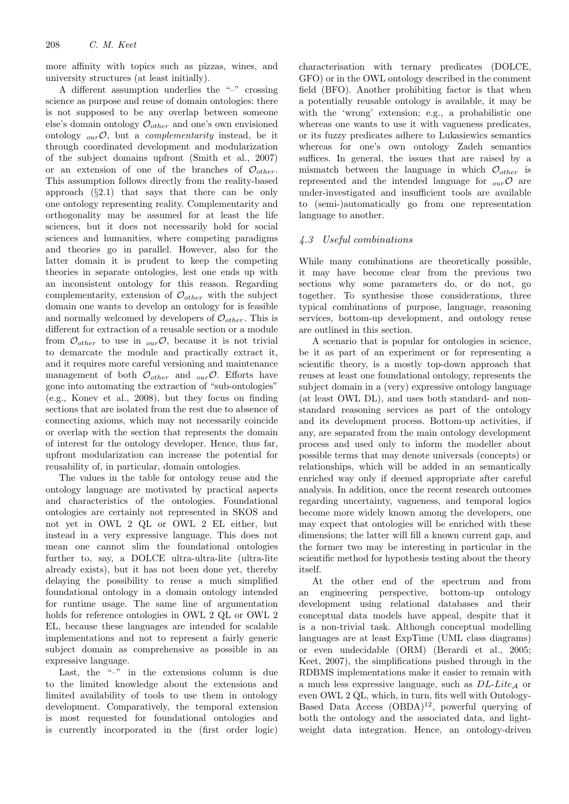more affinity with topics such as pizzas, wines, and university structures (at least initially).

A different assumption underlies the "–" crossing science as purpose and reuse of domain ontologies: there is not supposed to be any overlap between someone else's domain ontology  $\mathcal{O}_{other}$  and one's own envisioned ontology  $_{our}O$ , but a *complementarity* instead, be it through coordinated development and modularization of the subject domains upfront (Smith et al., 2007) or an extension of one of the branches of  $\mathcal{O}_{other}$ . This assumption follows directly from the reality-based approach  $(\S2.1)$  that says that there can be only one ontology representing reality. Complementarity and orthogonality may be assumed for at least the life sciences, but it does not necessarily hold for social sciences and humanities, where competing paradigms and theories go in parallel. However, also for the latter domain it is prudent to keep the competing theories in separate ontologies, lest one ends up with an inconsistent ontology for this reason. Regarding complementarity, extension of  $\mathcal{O}_{other}$  with the subject domain one wants to develop an ontology for is feasible and normally welcomed by developers of  $\mathcal{O}_{other}$ . This is different for extraction of a reusable section or a module from  $\mathcal{O}_{other}$  to use in  $_{our}\mathcal{O}$ , because it is not trivial to demarcate the module and practically extract it, and it requires more careful versioning and maintenance management of both  $\mathcal{O}_{other}$  and  $_{our}\mathcal{O}$ . Efforts have gone into automating the extraction of "sub-ontologies" (e.g., Konev et al., 2008), but they focus on finding sections that are isolated from the rest due to absence of connecting axioms, which may not necessarily coincide or overlap with the section that represents the domain of interest for the ontology developer. Hence, thus far, upfront modularization can increase the potential for reusability of, in particular, domain ontologies.

The values in the table for ontology reuse and the ontology language are motivated by practical aspects and characteristics of the ontologies. Foundational ontologies are certainly not represented in SKOS and not yet in OWL 2 QL or OWL 2 EL either, but instead in a very expressive language. This does not mean one cannot slim the foundational ontologies further to, say, a DOLCE ultra-ultra-lite (ultra-lite already exists), but it has not been done yet, thereby delaying the possibility to reuse a much simplified foundational ontology in a domain ontology intended for runtime usage. The same line of argumentation holds for reference ontologies in OWL 2 QL or OWL 2 EL, because these languages are intended for scalable implementations and not to represent a fairly generic subject domain as comprehensive as possible in an expressive language.

Last, the " $\rightarrow$ " in the extensions column is due to the limited knowledge about the extensions and limited availability of tools to use them in ontology development. Comparatively, the temporal extension is most requested for foundational ontologies and is currently incorporated in the (first order logic) characterisation with ternary predicates (DOLCE, GFO) or in the OWL ontology described in the comment field (BFO). Another prohibiting factor is that when a potentially reusable ontology is available, it may be with the 'wrong' extension; e.g., a probabilistic one whereas one wants to use it with vagueness predicates, or its fuzzy predicates adhere to Lukasiewics semantics whereas for one's own ontology Zadeh semantics suffices. In general, the issues that are raised by a mismatch between the language in which  $\mathcal{O}_{other}$  is represented and the intended language for  $_{our}$  $\mathcal{O}$  are under-investigated and insufficient tools are available to (semi-)automatically go from one representation language to another.

# 4.3 Useful combinations

While many combinations are theoretically possible, it may have become clear from the previous two sections why some parameters do, or do not, go together. To synthesise those considerations, three typical combinations of purpose, language, reasoning services, bottom-up development, and ontology reuse are outlined in this section.

A scenario that is popular for ontologies in science, be it as part of an experiment or for representing a scientific theory, is a mostly top-down approach that reuses at least one foundational ontology, represents the subject domain in a (very) expressive ontology language (at least OWL DL), and uses both standard- and nonstandard reasoning services as part of the ontology and its development process. Bottom-up activities, if any, are separated from the main ontology development process and used only to inform the modeller about possible terms that may denote universals (concepts) or relationships, which will be added in an semantically enriched way only if deemed appropriate after careful analysis. In addition, once the recent research outcomes regarding uncertainty, vagueness, and temporal logics become more widely known among the developers, one may expect that ontologies will be enriched with these dimensions; the latter will fill a known current gap, and the former two may be interesting in particular in the scientific method for hypothesis testing about the theory itself.

At the other end of the spectrum and from an engineering perspective, bottom-up ontology development using relational databases and their conceptual data models have appeal, despite that it is a non-trivial task. Although conceptual modelling languages are at least ExpTime (UML class diagrams) or even undecidable (ORM) (Berardi et al., 2005; Keet, 2007), the simplifications pushed through in the RDBMS implementations make it easier to remain with a much less expressive language, such as  $DL\text{-}Lie_A$  or even OWL 2 QL, which, in turn, fits well with Ontology-Based Data Access  $(OBDA)^{12}$ , powerful querying of both the ontology and the associated data, and lightweight data integration. Hence, an ontology-driven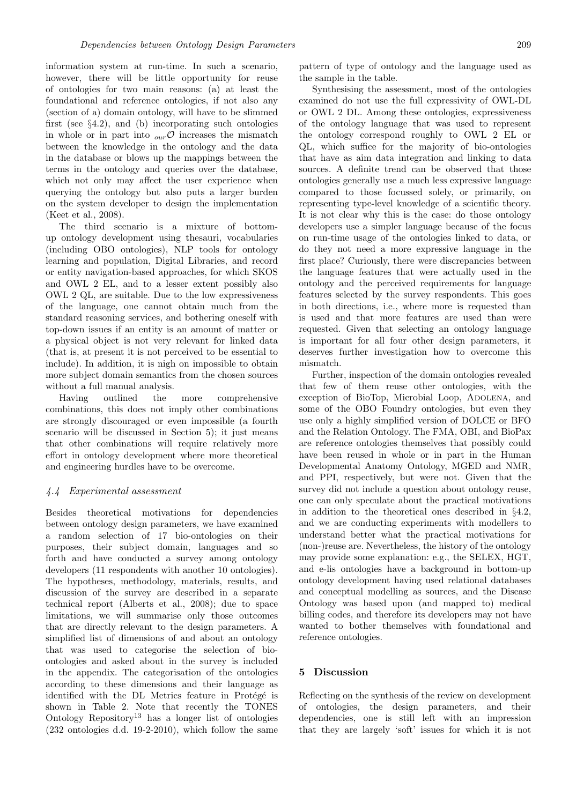information system at run-time. In such a scenario, however, there will be little opportunity for reuse of ontologies for two main reasons: (a) at least the foundational and reference ontologies, if not also any (section of a) domain ontology, will have to be slimmed first (see §4.2), and (b) incorporating such ontologies in whole or in part into  $_{our}$  $\mathcal{O}$  increases the mismatch between the knowledge in the ontology and the data in the database or blows up the mappings between the terms in the ontology and queries over the database, which not only may affect the user experience when querying the ontology but also puts a larger burden on the system developer to design the implementation (Keet et al., 2008).

The third scenario is a mixture of bottomup ontology development using thesauri, vocabularies (including OBO ontologies), NLP tools for ontology learning and population, Digital Libraries, and record or entity navigation-based approaches, for which SKOS and OWL 2 EL, and to a lesser extent possibly also OWL 2 QL, are suitable. Due to the low expressiveness of the language, one cannot obtain much from the standard reasoning services, and bothering oneself with top-down issues if an entity is an amount of matter or a physical object is not very relevant for linked data (that is, at present it is not perceived to be essential to include). In addition, it is nigh on impossible to obtain more subject domain semantics from the chosen sources without a full manual analysis.

Having outlined the more comprehensive combinations, this does not imply other combinations are strongly discouraged or even impossible (a fourth scenario will be discussed in Section 5); it just means that other combinations will require relatively more effort in ontology development where more theoretical and engineering hurdles have to be overcome.

#### 4.4 Experimental assessment

Besides theoretical motivations for dependencies between ontology design parameters, we have examined a random selection of 17 bio-ontologies on their purposes, their subject domain, languages and so forth and have conducted a survey among ontology developers (11 respondents with another 10 ontologies). The hypotheses, methodology, materials, results, and discussion of the survey are described in a separate technical report (Alberts et al., 2008); due to space limitations, we will summarise only those outcomes that are directly relevant to the design parameters. A simplified list of dimensions of and about an ontology that was used to categorise the selection of bioontologies and asked about in the survey is included in the appendix. The categorisation of the ontologies according to these dimensions and their language as identified with the DL Metrics feature in Protégé is shown in Table 2. Note that recently the TONES Ontology Repository<sup>13</sup> has a longer list of ontologies (232 ontologies d.d. 19-2-2010), which follow the same pattern of type of ontology and the language used as the sample in the table.

Synthesising the assessment, most of the ontologies examined do not use the full expressivity of OWL-DL or OWL 2 DL. Among these ontologies, expressiveness of the ontology language that was used to represent the ontology correspond roughly to OWL 2 EL or QL, which suffice for the majority of bio-ontologies that have as aim data integration and linking to data sources. A definite trend can be observed that those ontologies generally use a much less expressive language compared to those focussed solely, or primarily, on representing type-level knowledge of a scientific theory. It is not clear why this is the case: do those ontology developers use a simpler language because of the focus on run-time usage of the ontologies linked to data, or do they not need a more expressive language in the first place? Curiously, there were discrepancies between the language features that were actually used in the ontology and the perceived requirements for language features selected by the survey respondents. This goes in both directions, i.e., where more is requested than is used and that more features are used than were requested. Given that selecting an ontology language is important for all four other design parameters, it deserves further investigation how to overcome this mismatch.

Further, inspection of the domain ontologies revealed that few of them reuse other ontologies, with the exception of BioTop, Microbial Loop, ADOLENA, and some of the OBO Foundry ontologies, but even they use only a highly simplified version of DOLCE or BFO and the Relation Ontology. The FMA, OBI, and BioPax are reference ontologies themselves that possibly could have been reused in whole or in part in the Human Developmental Anatomy Ontology, MGED and NMR, and PPI, respectively, but were not. Given that the survey did not include a question about ontology reuse, one can only speculate about the practical motivations in addition to the theoretical ones described in §4.2, and we are conducting experiments with modellers to understand better what the practical motivations for (non-)reuse are. Nevertheless, the history of the ontology may provide some explanation: e.g., the SELEX, HGT, and e-lis ontologies have a background in bottom-up ontology development having used relational databases and conceptual modelling as sources, and the Disease Ontology was based upon (and mapped to) medical billing codes, and therefore its developers may not have wanted to bother themselves with foundational and reference ontologies.

# 5 Discussion

Reflecting on the synthesis of the review on development of ontologies, the design parameters, and their dependencies, one is still left with an impression that they are largely 'soft' issues for which it is not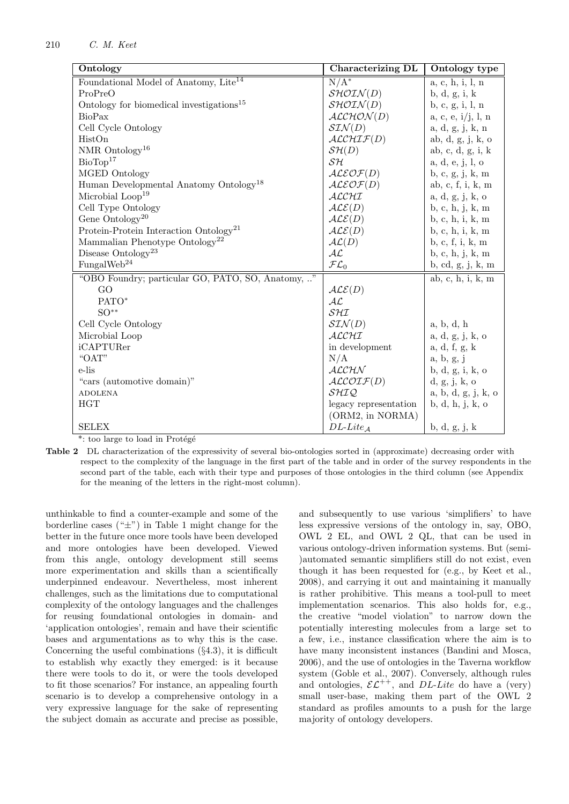| Ontology                                             | <b>Characterizing DL</b> | Ontology type       |
|------------------------------------------------------|--------------------------|---------------------|
| Foundational Model of Anatomy, Lite <sup>14</sup>    | $\overline{N/A^*}$       | a, c, h, i, l, n    |
| ProPreO                                              | $\mathcal{SHOIN}(D)$     | b, d, g, i, k       |
| Ontology for biomedical investigations <sup>15</sup> | $\mathcal{SHOLN}(D)$     | b, c, g, i, l, n    |
| <b>BioPax</b>                                        | ALCHON(D)                | a, c, e, i/j, l, n  |
| Cell Cycle Ontology                                  | $\mathcal{SIN}(D)$       | a, d, g, j, k, n    |
| HistOn                                               | ALCHIF(D)                | ab, d, g, j, k, o   |
| NMR Ontology <sup>16</sup>                           | $\mathcal{SH}(D)$        | ab, c, d, g, i, k   |
| BioTop <sup>17</sup>                                 | S H                      | a, d, e, j, l, o    |
| <b>MGED</b> Ontology                                 | ALEOF(D)                 | b, c, g, j, k, m    |
| Human Developmental Anatomy Ontology <sup>18</sup>   | ALEOF(D)                 | ab, c, f, i, k, m   |
| Microbial $Loop19$                                   | ALCHI                    | a, d, g, j, k, o    |
| Cell Type Ontology                                   | ALE(D)                   | b, c, h, j, k, m    |
| Gene Ontology <sup>20</sup>                          | ALE(D)                   | b, c, h, i, k, m    |
| Protein-Protein Interaction Ontology <sup>21</sup>   | ALE(D)                   | b, c, h, i, k, m    |
| Mammalian Phenotype Ontology <sup>22</sup>           | AL(D)                    | b, c, f, i, k, m    |
| Disease $Ontology23$                                 | AC                       | b, c, h, j, k, m    |
| FungalWeb <sup>24</sup>                              | $\mathcal{FL}_0$         | b, cd, g, j, k, m   |
| "OBO Foundry; particular GO, PATO, SO, Anatomy, "    |                          | ab, c, h, i, k, m   |
| GO                                                   | ALE(D)                   |                     |
| PATO*                                                | $\mathcal{AL}$           |                     |
| $SO^{**}$                                            | SHI                      |                     |
| Cell Cycle Ontology                                  | $\mathcal{SIN}(D)$       | a, b, d, h          |
| Microbial Loop                                       | ALCHI                    | a, d, g, j, k, o    |
| <b>iCAPTURer</b>                                     | in development           | a, d, f, g, k       |
| "OAT"                                                | N/A                      | a, b, g, j          |
| e-lis                                                | ALCHN                    | b, d, g, i, k, o    |
| "cars (automotive domain)"                           | ALCOTF(D)                | d, g, j, k, o       |
| <b>ADOLENA</b>                                       | SHIQ                     | a, b, d, g, j, k, o |
| HGT                                                  | legacy representation    | b, d, h, j, k, o    |
|                                                      | (ORM2, in NORMA)         |                     |
| <b>SELEX</b>                                         | $DL\text{-}Lie_A$        | b, d, g, j, k       |

 $*$ : too large to load in Protégé

Table 2 DL characterization of the expressivity of several bio-ontologies sorted in (approximate) decreasing order with respect to the complexity of the language in the first part of the table and in order of the survey respondents in the second part of the table, each with their type and purposes of those ontologies in the third column (see Appendix for the meaning of the letters in the right-most column).

unthinkable to find a counter-example and some of the borderline cases  $("±")$  in Table 1 might change for the better in the future once more tools have been developed and more ontologies have been developed. Viewed from this angle, ontology development still seems more experimentation and skills than a scientifically underpinned endeavour. Nevertheless, most inherent challenges, such as the limitations due to computational complexity of the ontology languages and the challenges for reusing foundational ontologies in domain- and 'application ontologies', remain and have their scientific bases and argumentations as to why this is the case. Concerning the useful combinations  $(\S4.3)$ , it is difficult to establish why exactly they emerged: is it because there were tools to do it, or were the tools developed to fit those scenarios? For instance, an appealing fourth scenario is to develop a comprehensive ontology in a very expressive language for the sake of representing the subject domain as accurate and precise as possible,

and subsequently to use various 'simplifiers' to have less expressive versions of the ontology in, say, OBO, OWL 2 EL, and OWL 2 QL, that can be used in various ontology-driven information systems. But (semi- )automated semantic simplifiers still do not exist, even though it has been requested for (e.g., by Keet et al., 2008), and carrying it out and maintaining it manually is rather prohibitive. This means a tool-pull to meet implementation scenarios. This also holds for, e.g., the creative "model violation" to narrow down the potentially interesting molecules from a large set to a few, i.e., instance classification where the aim is to have many inconsistent instances (Bandini and Mosca, 2006), and the use of ontologies in the Taverna workflow system (Goble et al., 2007). Conversely, although rules and ontologies,  $\mathcal{EL}^{++}$ , and *DL-Lite* do have a (very) small user-base, making them part of the OWL 2 standard as profiles amounts to a push for the large majority of ontology developers.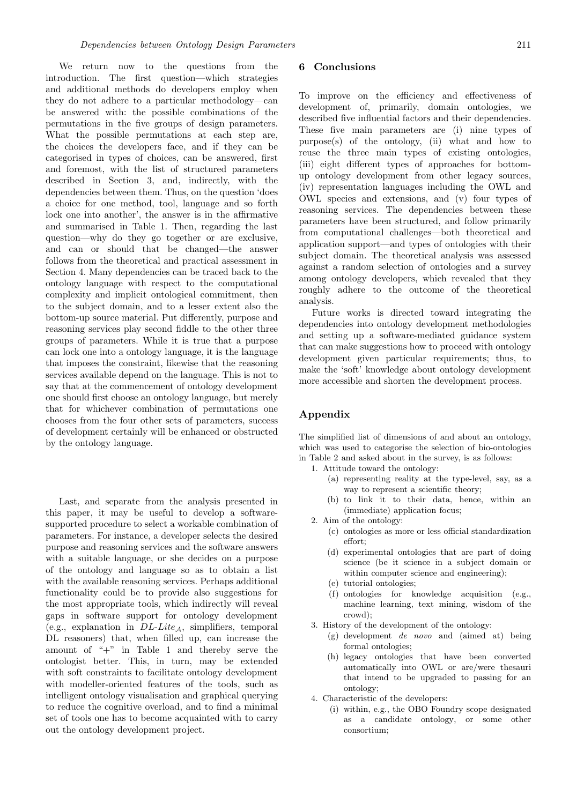We return now to the questions from the introduction. The first question—which strategies and additional methods do developers employ when they do not adhere to a particular methodology—can be answered with: the possible combinations of the permutations in the five groups of design parameters. What the possible permutations at each step are, the choices the developers face, and if they can be categorised in types of choices, can be answered, first and foremost, with the list of structured parameters described in Section 3, and, indirectly, with the dependencies between them. Thus, on the question 'does a choice for one method, tool, language and so forth lock one into another', the answer is in the affirmative and summarised in Table 1. Then, regarding the last question—why do they go together or are exclusive, and can or should that be changed—the answer follows from the theoretical and practical assessment in Section 4. Many dependencies can be traced back to the ontology language with respect to the computational complexity and implicit ontological commitment, then to the subject domain, and to a lesser extent also the bottom-up source material. Put differently, purpose and reasoning services play second fiddle to the other three groups of parameters. While it is true that a purpose can lock one into a ontology language, it is the language that imposes the constraint, likewise that the reasoning services available depend on the language. This is not to say that at the commencement of ontology development one should first choose an ontology language, but merely that for whichever combination of permutations one chooses from the four other sets of parameters, success of development certainly will be enhanced or obstructed by the ontology language.

Last, and separate from the analysis presented in this paper, it may be useful to develop a softwaresupported procedure to select a workable combination of parameters. For instance, a developer selects the desired purpose and reasoning services and the software answers with a suitable language, or she decides on a purpose of the ontology and language so as to obtain a list with the available reasoning services. Perhaps additional functionality could be to provide also suggestions for the most appropriate tools, which indirectly will reveal gaps in software support for ontology development (e.g., explanation in  $DL\text{-}Lite_A$ , simplifiers, temporal DL reasoners) that, when filled up, can increase the amount of " $+$ " in Table 1 and thereby serve the ontologist better. This, in turn, may be extended with soft constraints to facilitate ontology development with modeller-oriented features of the tools, such as intelligent ontology visualisation and graphical querying to reduce the cognitive overload, and to find a minimal set of tools one has to become acquainted with to carry out the ontology development project.

# 6 Conclusions

To improve on the efficiency and effectiveness of development of, primarily, domain ontologies, we described five influential factors and their dependencies. These five main parameters are (i) nine types of purpose(s) of the ontology, (ii) what and how to reuse the three main types of existing ontologies, (iii) eight different types of approaches for bottomup ontology development from other legacy sources, (iv) representation languages including the OWL and OWL species and extensions, and (v) four types of reasoning services. The dependencies between these parameters have been structured, and follow primarily from computational challenges—both theoretical and application support—and types of ontologies with their subject domain. The theoretical analysis was assessed against a random selection of ontologies and a survey among ontology developers, which revealed that they roughly adhere to the outcome of the theoretical analysis.

Future works is directed toward integrating the dependencies into ontology development methodologies and setting up a software-mediated guidance system that can make suggestions how to proceed with ontology development given particular requirements; thus, to make the 'soft' knowledge about ontology development more accessible and shorten the development process.

# Appendix

The simplified list of dimensions of and about an ontology, which was used to categorise the selection of bio-ontologies in Table 2 and asked about in the survey, is as follows:

- 1. Attitude toward the ontology:
	- (a) representing reality at the type-level, say, as a way to represent a scientific theory;
	- (b) to link it to their data, hence, within an (immediate) application focus;
- 2. Aim of the ontology:
	- (c) ontologies as more or less official standardization  $effort$
	- (d) experimental ontologies that are part of doing science (be it science in a subject domain or within computer science and engineering);
	- (e) tutorial ontologies;
	- (f) ontologies for knowledge acquisition (e.g., machine learning, text mining, wisdom of the crowd);
- 3. History of the development of the ontology:
	- (g) development de novo and (aimed at) being formal ontologies;
	- (h) legacy ontologies that have been converted automatically into OWL or are/were thesauri that intend to be upgraded to passing for an ontology;
- 4. Characteristic of the developers:
	- (i) within, e.g., the OBO Foundry scope designated as a candidate ontology, or some other consortium;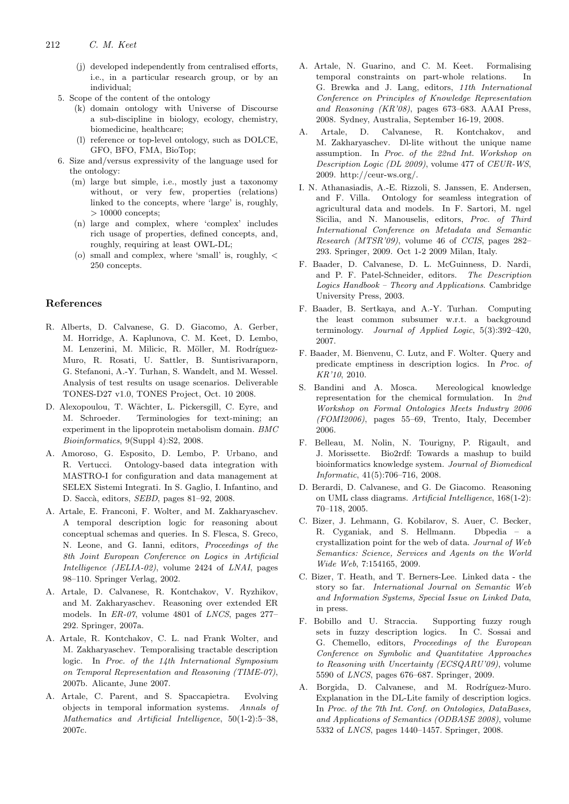- (j) developed independently from centralised efforts, i.e., in a particular research group, or by an individual;
- 5. Scope of the content of the ontology
	- (k) domain ontology with Universe of Discourse a sub-discipline in biology, ecology, chemistry, biomedicine, healthcare;
	- (l) reference or top-level ontology, such as DOLCE, GFO, BFO, FMA, BioTop;
- 6. Size and/versus expressivity of the language used for the ontology:
	- (m) large but simple, i.e., mostly just a taxonomy without, or very few, properties (relations) linked to the concepts, where 'large' is, roughly, > 10000 concepts;
	- (n) large and complex, where 'complex' includes rich usage of properties, defined concepts, and, roughly, requiring at least OWL-DL;
	- (o) small and complex, where 'small' is, roughly, < 250 concepts.

# References

- R. Alberts, D. Calvanese, G. D. Giacomo, A. Gerber, M. Horridge, A. Kaplunova, C. M. Keet, D. Lembo, M. Lenzerini, M. Milicic, R. Möller, M. Rodríguez-Muro, R. Rosati, U. Sattler, B. Suntisrivaraporn, G. Stefanoni, A.-Y. Turhan, S. Wandelt, and M. Wessel. Analysis of test results on usage scenarios. Deliverable TONES-D27 v1.0, TONES Project, Oct. 10 2008.
- D. Alexopoulou, T. Wächter, L. Pickersgill, C. Eyre, and M. Schroeder. Terminologies for text-mining; an experiment in the lipoprotein metabolism domain. BMC Bioinformatics, 9(Suppl 4):S2, 2008.
- A. Amoroso, G. Esposito, D. Lembo, P. Urbano, and R. Vertucci. Ontology-based data integration with MASTRO-I for configuration and data management at SELEX Sistemi Integrati. In S. Gaglio, I. Infantino, and D. Saccà, editors, SEBD, pages 81–92, 2008.
- A. Artale, E. Franconi, F. Wolter, and M. Zakharyaschev. A temporal description logic for reasoning about conceptual schemas and queries. In S. Flesca, S. Greco, N. Leone, and G. Ianni, editors, Proceedings of the 8th Joint European Conference on Logics in Artificial Intelligence (JELIA-02), volume 2424 of LNAI, pages 98–110. Springer Verlag, 2002.
- A. Artale, D. Calvanese, R. Kontchakov, V. Ryzhikov, and M. Zakharyaschev. Reasoning over extended ER models. In ER-07, volume 4801 of LNCS, pages 277– 292. Springer, 2007a.
- A. Artale, R. Kontchakov, C. L. nad Frank Wolter, and M. Zakharyaschev. Temporalising tractable description logic. In Proc. of the 14th International Symposium on Temporal Representation and Reasoning (TIME-07), 2007b. Alicante, June 2007.
- A. Artale, C. Parent, and S. Spaccapietra. Evolving objects in temporal information systems. Annals of Mathematics and Artificial Intelligence, 50(1-2):5–38, 2007c.
- A. Artale, N. Guarino, and C. M. Keet. Formalising temporal constraints on part-whole relations. In G. Brewka and J. Lang, editors, 11th International Conference on Principles of Knowledge Representation and Reasoning (KR'08), pages 673–683. AAAI Press, 2008. Sydney, Australia, September 16-19, 2008.
- A. Artale, D. Calvanese, R. Kontchakov, and M. Zakharyaschev. Dl-lite without the unique name assumption. In Proc. of the 22nd Int. Workshop on Description Logic (DL 2009), volume 477 of CEUR-WS, 2009. http://ceur-ws.org/.
- I. N. Athanasiadis, A.-E. Rizzoli, S. Janssen, E. Andersen, and F. Villa. Ontology for seamless integration of agricultural data and models. In F. Sartori, M. ngel Sicilia, and N. Manouselis, editors, Proc. of Third International Conference on Metadata and Semantic Research (MTSR'09), volume 46 of CCIS, pages 282– 293. Springer, 2009. Oct 1-2 2009 Milan, Italy.
- F. Baader, D. Calvanese, D. L. McGuinness, D. Nardi, and P. F. Patel-Schneider, editors. The Description Logics Handbook – Theory and Applications. Cambridge University Press, 2003.
- F. Baader, B. Sertkaya, and A.-Y. Turhan. Computing the least common subsumer w.r.t. a background terminology. Journal of Applied Logic, 5(3):392–420, 2007.
- F. Baader, M. Bienvenu, C. Lutz, and F. Wolter. Query and predicate emptiness in description logics. In Proc. of KR'10, 2010.
- S. Bandini and A. Mosca. Mereological knowledge representation for the chemical formulation. In 2nd Workshop on Formal Ontologies Meets Industry 2006 (FOMI2006), pages 55–69, Trento, Italy, December 2006.
- F. Belleau, M. Nolin, N. Tourigny, P. Rigault, and J. Morissette. Bio2rdf: Towards a mashup to build bioinformatics knowledge system. Journal of Biomedical Informatic, 41(5):706–716, 2008.
- D. Berardi, D. Calvanese, and G. De Giacomo. Reasoning on UML class diagrams. Artificial Intelligence, 168(1-2): 70–118, 2005.
- C. Bizer, J. Lehmann, G. Kobilarov, S. Auer, C. Becker, R. Cyganiak, and S. Hellmann. Dbpedia – a crystallization point for the web of data. Journal of Web Semantics: Science, Services and Agents on the World Wide Web, 7:154165, 2009.
- C. Bizer, T. Heath, and T. Berners-Lee. Linked data the story so far. International Journal on Semantic Web and Information Systems, Special Issue on Linked Data, in press.
- F. Bobillo and U. Straccia. Supporting fuzzy rough sets in fuzzy description logics. In C. Sossai and G. Chemello, editors, Proceedings of the European Conference on Symbolic and Quantitative Approaches to Reasoning with Uncertainty (ECSQARU'09), volume 5590 of LNCS, pages 676–687. Springer, 2009.
- A. Borgida, D. Calvanese, and M. Rodríguez-Muro. Explanation in the DL-Lite family of description logics. In Proc. of the 7th Int. Conf. on Ontologies, DataBases, and Applications of Semantics (ODBASE 2008), volume 5332 of LNCS, pages 1440–1457. Springer, 2008.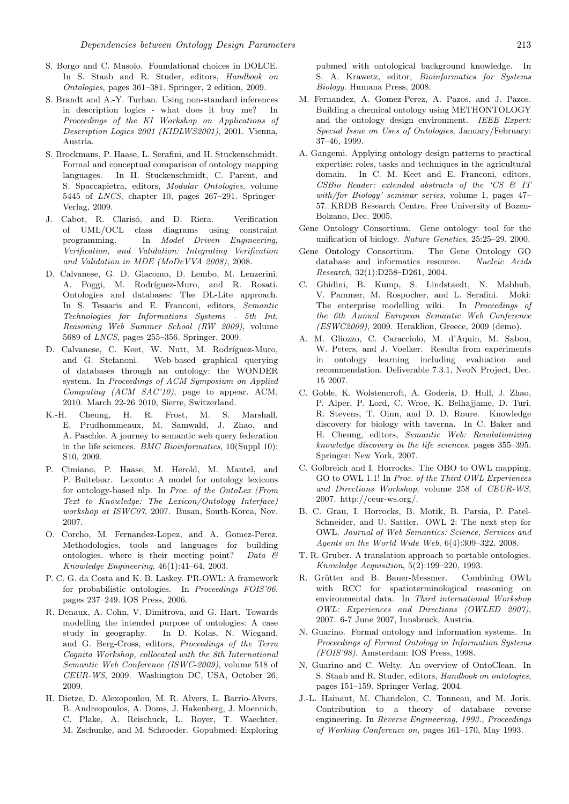- S. Borgo and C. Masolo. Foundational choices in DOLCE. In S. Staab and R. Studer, editors, Handbook on Ontologies, pages 361–381. Springer, 2 edition, 2009.
- S. Brandt and A.-Y. Turhan. Using non-standard inferences in description logics - what does it buy me? In Proceedings of the KI Workshop on Applications of Description Logics 2001 (KIDLWS2001), 2001. Vienna, Austria.
- S. Brockmans, P. Haase, L. Serafini, and H. Stuckenschmidt. Formal and conceptual comparison of ontology mapping languages. In H. Stuckenschmidt, C. Parent, and S. Spaccapietra, editors, Modular Ontologies, volume 5445 of LNCS, chapter 10, pages 267–291. Springer-Verlag, 2009.
- J. Cabot, R. Clarisó, and D. Riera. Verification of UML/OCL class diagrams using constraint programming. In Model Driven Engineering, Verification, and Validation: Integrating Verification and Validation in MDE (MoDeVVA 2008), 2008.
- D. Calvanese, G. D. Giacomo, D. Lembo, M. Lenzerini, A. Poggi, M. Rodríguez-Muro, and R. Rosati. Ontologies and databases: The DL-Lite approach. In S. Tessaris and E. Franconi, editors, Semantic Technologies for Informations Systems - 5th Int. Reasoning Web Summer School (RW 2009), volume 5689 of LNCS, pages 255–356. Springer, 2009.
- D. Calvanese, C. Keet, W. Nutt, M. Rodríguez-Muro, and G. Stefanoni. Web-based graphical querying of databases through an ontology: the WONDER system. In Proceedings of ACM Symposium on Applied Computing (ACM SAC'10), page to appear. ACM, 2010. March 22-26 2010, Sierre, Switzerland.
- K.-H. Cheung, H. R. Frost, M. S. Marshall, E. Prudhommeaux, M. Samwald, J. Zhao, and A. Paschke. A journey to semantic web query federation in the life sciences. BMC Bioinformatics, 10(Suppl 10): S10, 2009.
- P. Cimiano, P. Haase, M. Herold, M. Mantel, and P. Buitelaar. Lexonto: A model for ontology lexicons for ontology-based nlp. In Proc. of the OntoLex (From Text to Knowledge: The Lexicon/Ontology Interface) workshop at ISWC07, 2007. Busan, South-Korea, Nov. 2007.
- O. Corcho, M. Fernandez-Lopez, and A. Gomez-Perez. Methodologies, tools and languages for building ontologies. where is their meeting point? Data  $\mathcal{B}$ Knowledge Engineering, 46(1):41–64, 2003.
- P. C. G. da Costa and K. B. Laskey. PR-OWL: A framework for probabilistic ontologies. In Proceedings FOIS'06, pages 237–249. IOS Press, 2006.
- R. Denaux, A. Cohn, V. Dimitrova, and G. Hart. Towards modelling the intended purpose of ontologies: A case study in geography. In D. Kolas, N. Wiegand, and G. Berg-Cross, editors, Proceedings of the Terra Cognita Workshop, collocated with the 8th International Semantic Web Conference (ISWC-2009), volume 518 of CEUR-WS, 2009. Washington DC, USA, October 26, 2009.
- H. Dietze, D. Alexopoulou, M. R. Alvers, L. Barrio-Alvers, B. Andreopoulos, A. Doms, J. Hakenberg, J. Moennich, C. Plake, A. Reischuck, L. Royer, T. Waechter, M. Zschunke, and M. Schroeder. Gopubmed: Exploring

pubmed with ontological background knowledge. In S. A. Krawetz, editor, Bioinformatics for Systems Biology. Humana Press, 2008.

- M. Fernandez, A. Gomez-Perez, A. Pazos, and J. Pazos. Building a chemical ontology using METHONTOLOGY and the ontology design environment. IEEE Expert: Special Issue on Uses of Ontologies, January/February: 37–46, 1999.
- A. Gangemi. Applying ontology design patterns to practical expertise: roles, tasks and techniques in the agricultural domain. In C. M. Keet and E. Franconi, editors, CSBio Reader: extended abstracts of the 'CS & IT with/for Biology' seminar series, volume 1, pages 47– 57. KRDB Research Centre, Free University of Bozen-Bolzano, Dec. 2005.
- Gene Ontology Consortium. Gene ontology: tool for the unification of biology. Nature Genetics, 25:25–29, 2000.
- Gene Ontology Consortium. The Gene Ontology GO database and informatics resource. Nucleic Acids Research, 32(1):D258–D261, 2004.
- C. Ghidini, B. Kump, S. Lindstaedt, N. Mabhub, V. Pammer, M. Rospocher, and L. Serafini. Moki: The enterprise modelling wiki. In Proceedings of the 6th Annual European Semantic Web Conference (ESWC2009), 2009. Heraklion, Greece, 2009 (demo).
- A. M. Gliozzo, C. Caracciolo, M. d'Aquin, M. Sabou, W. Peters, and J. Voelker. Results from experiments in ontology learning including evaluation and recommendation. Deliverable 7.3.1, NeoN Project, Dec. 15 2007.
- C. Goble, K. Wolstencroft, A. Goderis, D. Hull, J. Zhao, P. Alper, P. Lord, C. Wroe, K. Belhajjame, D. Turi, R. Stevens, T. Oinn, and D. D. Roure. Knowledge discovery for biology with taverna. In C. Baker and H. Cheung, editors, Semantic Web: Revolutionizing knowledge discovery in the life sciences, pages 355–395. Springer: New York, 2007.
- C. Golbreich and I. Horrocks. The OBO to OWL mapping, GO to OWL 1.1! In Proc. of the Third OWL Experiences and Directions Workshop, volume 258 of CEUR-WS, 2007. http://ceur-ws.org/.
- B. C. Grau, I. Horrocks, B. Motik, B. Parsia, P. Patel-Schneider, and U. Sattler. OWL 2: The next step for OWL. Journal of Web Semantics: Science, Services and Agents on the World Wide Web, 6(4):309–322, 2008.
- T. R. Gruber. A translation approach to portable ontologies. Knowledge Acquisition, 5(2):199–220, 1993.
- R. Grütter and B. Bauer-Messmer. Combining OWL with RCC for spatioterminological reasoning on environmental data. In Third international Workshop OWL: Experiences and Directions (OWLED 2007), 2007. 6-7 June 2007, Innsbruck, Austria.
- N. Guarino. Formal ontology and information systems. In Proceedings of Formal Ontology in Information Systems (FOIS'98). Amsterdam: IOS Press, 1998.
- N. Guarino and C. Welty. An overview of OntoClean. In S. Staab and R. Studer, editors, Handbook on ontologies, pages 151–159. Springer Verlag, 2004.
- J.-L. Hainaut, M. Chandelon, C. Tonneau, and M. Joris. Contribution to a theory of database reverse engineering. In Reverse Engineering, 1993., Proceedings of Working Conference on, pages 161–170, May 1993.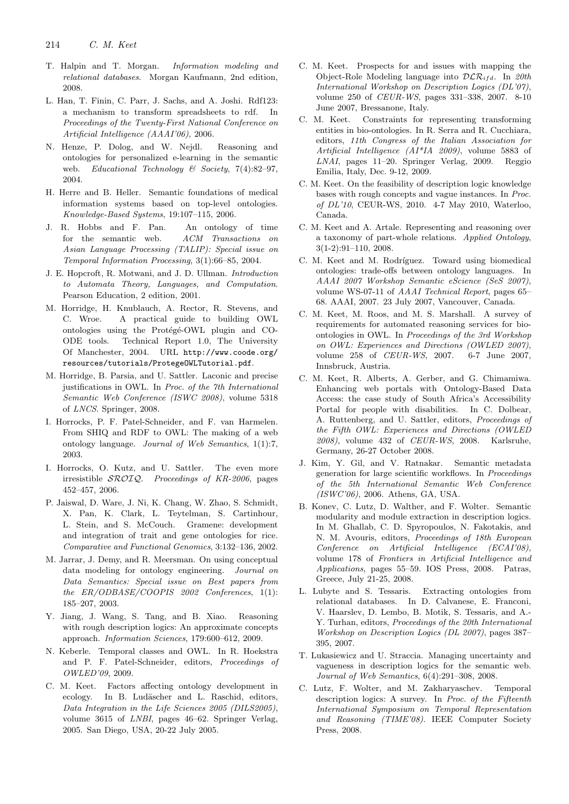- T. Halpin and T. Morgan. Information modeling and relational databases. Morgan Kaufmann, 2nd edition, 2008.
- L. Han, T. Finin, C. Parr, J. Sachs, and A. Joshi. Rdf123: a mechanism to transform spreadsheets to rdf. In Proceedings of the Twenty-First National Conference on Artificial Intelligence (AAAI'06), 2006.
- N. Henze, P. Dolog, and W. Nejdl. Reasoning and ontologies for personalized e-learning in the semantic web. Educational Technology & Society, 7(4):82-97, 2004.
- H. Herre and B. Heller. Semantic foundations of medical information systems based on top-level ontologies. Knowledge-Based Systems, 19:107–115, 2006.
- J. R. Hobbs and F. Pan. An ontology of time for the semantic web. ACM Transactions on Asian Language Processing (TALIP): Special issue on Temporal Information Processing, 3(1):66–85, 2004.
- J. E. Hopcroft, R. Motwani, and J. D. Ullman. Introduction to Automata Theory, Languages, and Computation. Pearson Education, 2 edition, 2001.
- M. Horridge, H. Knublauch, A. Rector, R. Stevens, and C. Wroe. A practical guide to building OWL ontologies using the Protégé-OWL plugin and CO-ODE tools. Technical Report 1.0, The University Of Manchester, 2004. URL http://www.coode.org/ resources/tutorials/ProtegeOWLTutorial.pdf.
- M. Horridge, B. Parsia, and U. Sattler. Laconic and precise justifications in OWL. In Proc. of the 7th International Semantic Web Conference (ISWC 2008), volume 5318 of LNCS. Springer, 2008.
- I. Horrocks, P. F. Patel-Schneider, and F. van Harmelen. From SHIQ and RDF to OWL: The making of a web ontology language. Journal of Web Semantics, 1(1):7, 2003.
- I. Horrocks, O. Kutz, and U. Sattler. The even more irresistible SROIQ. Proceedings of KR-2006, pages 452–457, 2006.
- P. Jaiswal, D. Ware, J. Ni, K. Chang, W. Zhao, S. Schmidt, X. Pan, K. Clark, L. Teytelman, S. Cartinhour, L. Stein, and S. McCouch. Gramene: development and integration of trait and gene ontologies for rice. Comparative and Functional Genomics, 3:132–136, 2002.
- M. Jarrar, J. Demy, and R. Meersman. On using conceptual data modeling for ontology engineering. Journal on Data Semantics: Special issue on Best papers from the ER/ODBASE/COOPIS 2002 Conferences, 1(1): 185–207, 2003.
- Y. Jiang, J. Wang, S. Tang, and B. Xiao. Reasoning with rough description logics: An approximate concepts approach. Information Sciences, 179:600–612, 2009.
- N. Keberle. Temporal classes and OWL. In R. Hoekstra and P. F. Patel-Schneider, editors, Proceedings of OWLED'09, 2009.
- C. M. Keet. Factors affecting ontology development in ecology. In B. Ludäscher and L. Raschid, editors, Data Integration in the Life Sciences 2005 (DILS2005), volume 3615 of LNBI, pages 46–62. Springer Verlag, 2005. San Diego, USA, 20-22 July 2005.
- C. M. Keet. Prospects for and issues with mapping the Object-Role Modeling language into  $DLR_{ifd}$ . In 20th International Workshop on Description Logics (DL'07), volume 250 of CEUR-WS, pages 331–338, 2007. 8-10 June 2007, Bressanone, Italy.
- C. M. Keet. Constraints for representing transforming entities in bio-ontologies. In R. Serra and R. Cucchiara, editors, 11th Congress of the Italian Association for Artificial Intelligence (AI\*IA 2009), volume 5883 of LNAI, pages 11–20. Springer Verlag, 2009. Reggio Emilia, Italy, Dec. 9-12, 2009.
- C. M. Keet. On the feasibility of description logic knowledge bases with rough concepts and vague instances. In Proc. of DL'10, CEUR-WS, 2010. 4-7 May 2010, Waterloo, Canada.
- C. M. Keet and A. Artale. Representing and reasoning over a taxonomy of part-whole relations. Applied Ontology, 3(1-2):91–110, 2008.
- C. M. Keet and M. Rodríguez. Toward using biomedical ontologies: trade-offs between ontology languages. In AAAI 2007 Workshop Semantic eScience (SeS 2007), volume WS-07-11 of AAAI Technical Report, pages 65– 68. AAAI, 2007. 23 July 2007, Vancouver, Canada.
- C. M. Keet, M. Roos, and M. S. Marshall. A survey of requirements for automated reasoning services for bioontologies in OWL. In Proceedings of the 3rd Workshop on OWL: Experiences and Directions (OWLED 2007), volume 258 of CEUR-WS, 2007. 6-7 June 2007, Innsbruck, Austria.
- C. M. Keet, R. Alberts, A. Gerber, and G. Chimamiwa. Enhancing web portals with Ontology-Based Data Access: the case study of South Africa's Accessibility Portal for people with disabilities. In C. Dolbear, A. Ruttenberg, and U. Sattler, editors, Proceedings of the Fifth OWL: Experiences and Directions (OWLED 2008), volume 432 of CEUR-WS, 2008. Karlsruhe, Germany, 26-27 October 2008.
- J. Kim, Y. Gil, and V. Ratnakar. Semantic metadata generation for large scientific workflows. In Proceedings of the 5th International Semantic Web Conference (ISWC'06), 2006. Athens, GA, USA.
- B. Konev, C. Lutz, D. Walther, and F. Wolter. Semantic modularity and module extraction in description logics. In M. Ghallab, C. D. Spyropoulos, N. Fakotakis, and N. M. Avouris, editors, Proceedings of 18th European Conference on Artificial Intelligence (ECAI'08), volume 178 of Frontiers in Artificial Intelligence and Applications, pages 55–59. IOS Press, 2008. Patras, Greece, July 21-25, 2008.
- L. Lubyte and S. Tessaris. Extracting ontologies from relational databases. In D. Calvanese, E. Franconi, V. Haarslev, D. Lembo, B. Motik, S. Tessaris, and A.- Y. Turhan, editors, Proceedings of the 20th International Workshop on Description Logics (DL 2007), pages 387– 395, 2007.
- T. Lukasiewicz and U. Straccia. Managing uncertainty and vagueness in description logics for the semantic web. Journal of Web Semantics, 6(4):291–308, 2008.
- C. Lutz, F. Wolter, and M. Zakharyaschev. Temporal description logics: A survey. In Proc. of the Fifteenth International Symposium on Temporal Representation and Reasoning (TIME'08). IEEE Computer Society Press, 2008.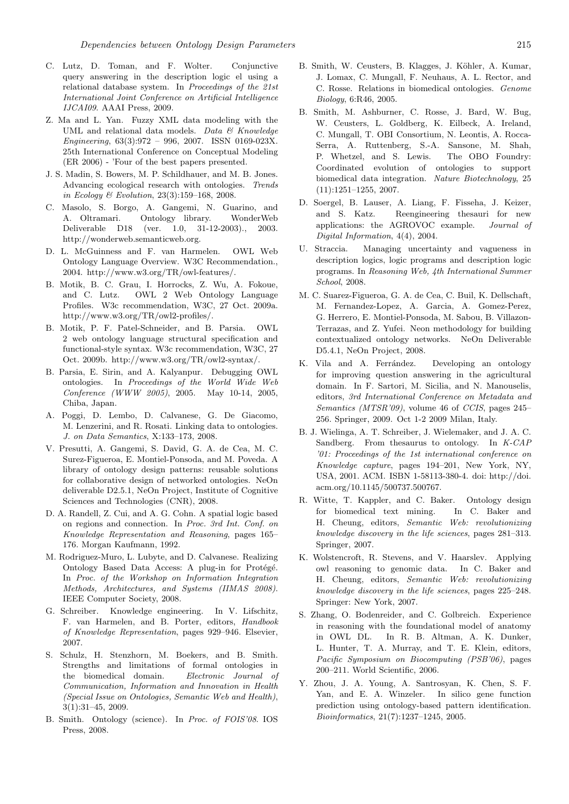- C. Lutz, D. Toman, and F. Wolter. Conjunctive query answering in the description logic el using a relational database system. In Proceedings of the 21st International Joint Conference on Artificial Intelligence IJCAI09. AAAI Press, 2009.
- Z. Ma and L. Yan. Fuzzy XML data modeling with the UML and relational data models. Data & Knowledge Engineering, 63(3):972 – 996, 2007. ISSN 0169-023X. 25th International Conference on Conceptual Modeling (ER 2006) - 'Four of the best papers presented.
- J. S. Madin, S. Bowers, M. P. Schildhauer, and M. B. Jones. Advancing ecological research with ontologies. Trends in Ecology & Evolution, 23(3):159–168, 2008.
- C. Masolo, S. Borgo, A. Gangemi, N. Guarino, and A. Oltramari. Ontology library. WonderWeb Deliverable D18 (ver. 1.0, 31-12-2003)., 2003. http://wonderweb.semanticweb.org.
- D. L. McGuinness and F. van Harmelen. OWL Web Ontology Language Overview. W3C Recommendation., 2004. http://www.w3.org/TR/owl-features/.
- B. Motik, B. C. Grau, I. Horrocks, Z. Wu, A. Fokoue, and C. Lutz. OWL 2 Web Ontology Language Profiles. W3c recommendation, W3C, 27 Oct. 2009a. http://www.w3.org/TR/owl2-profiles/.
- B. Motik, P. F. Patel-Schneider, and B. Parsia. OWL 2 web ontology language structural specification and functional-style syntax. W3c recommendation, W3C, 27 Oct. 2009b. http://www.w3.org/TR/owl2-syntax/.
- B. Parsia, E. Sirin, and A. Kalyanpur. Debugging OWL ontologies. In Proceedings of the World Wide Web Conference (WWW 2005), 2005. May 10-14, 2005, Chiba, Japan.
- A. Poggi, D. Lembo, D. Calvanese, G. De Giacomo, M. Lenzerini, and R. Rosati. Linking data to ontologies. J. on Data Semantics, X:133–173, 2008.
- V. Presutti, A. Gangemi, S. David, G. A. de Cea, M. C. Surez-Figueroa, E. Montiel-Ponsoda, and M. Poveda. A library of ontology design patterns: reusable solutions for collaborative design of networked ontologies. NeOn deliverable D2.5.1, NeOn Project, Institute of Cognitive Sciences and Technologies (CNR), 2008.
- D. A. Randell, Z. Cui, and A. G. Cohn. A spatial logic based on regions and connection. In Proc. 3rd Int. Conf. on Knowledge Representation and Reasoning, pages 165– 176. Morgan Kaufmann, 1992.
- M. Rodriguez-Muro, L. Lubyte, and D. Calvanese. Realizing Ontology Based Data Access: A plug-in for Protégé. In Proc. of the Workshop on Information Integration Methods, Architectures, and Systems (IIMAS 2008). IEEE Computer Society, 2008.
- G. Schreiber. Knowledge engineering. In V. Lifschitz, F. van Harmelen, and B. Porter, editors, Handbook of Knowledge Representation, pages 929–946. Elsevier, 2007.
- S. Schulz, H. Stenzhorn, M. Boekers, and B. Smith. Strengths and limitations of formal ontologies in the biomedical domain. Electronic Journal of Communication, Information and Innovation in Health (Special Issue on Ontologies, Semantic Web and Health), 3(1):31–45, 2009.
- B. Smith. Ontology (science). In Proc. of FOIS'08. IOS Press, 2008.
- B. Smith, W. Ceusters, B. Klagges, J. Köhler, A. Kumar, J. Lomax, C. Mungall, F. Neuhaus, A. L. Rector, and C. Rosse. Relations in biomedical ontologies. Genome Biology, 6:R46, 2005.
- B. Smith, M. Ashburner, C. Rosse, J. Bard, W. Bug, W. Ceusters, L. Goldberg, K. Eilbeck, A. Ireland, C. Mungall, T. OBI Consortium, N. Leontis, A. Rocca-Serra, A. Ruttenberg, S.-A. Sansone, M. Shah, P. Whetzel, and S. Lewis. The OBO Foundry: Coordinated evolution of ontologies to support biomedical data integration. Nature Biotechnology, 25 (11):1251–1255, 2007.
- D. Soergel, B. Lauser, A. Liang, F. Fisseha, J. Keizer, and S. Katz. Reengineering thesauri for new applications: the AGROVOC example. Journal of Digital Information, 4(4), 2004.
- U. Straccia. Managing uncertainty and vagueness in description logics, logic programs and description logic programs. In Reasoning Web, 4th International Summer School, 2008.
- M. C. Suarez-Figueroa, G. A. de Cea, C. Buil, K. Dellschaft, M. Fernandez-Lopez, A. Garcia, A. Gomez-Perez, G. Herrero, E. Montiel-Ponsoda, M. Sabou, B. Villazon-Terrazas, and Z. Yufei. Neon methodology for building contextualized ontology networks. NeOn Deliverable D5.4.1, NeOn Project, 2008.
- K. Vila and A. Ferrández. Developing an ontology for improving question answering in the agricultural domain. In F. Sartori, M. Sicilia, and N. Manouselis, editors, 3rd International Conference on Metadata and Semantics (MTSR'09), volume 46 of CCIS, pages 245– 256. Springer, 2009. Oct 1-2 2009 Milan, Italy.
- B. J. Wielinga, A. T. Schreiber, J. Wielemaker, and J. A. C. Sandberg. From thesaurus to ontology. In K-CAP '01: Proceedings of the 1st international conference on Knowledge capture, pages 194–201, New York, NY, USA, 2001. ACM. ISBN 1-58113-380-4. doi: http://doi. acm.org/10.1145/500737.500767.
- R. Witte, T. Kappler, and C. Baker. Ontology design for biomedical text mining. In C. Baker and H. Cheung, editors, Semantic Web: revolutionizing knowledge discovery in the life sciences, pages 281–313. Springer, 2007.
- K. Wolstencroft, R. Stevens, and V. Haarslev. Applying owl reasoning to genomic data. In C. Baker and H. Cheung, editors, Semantic Web: revolutionizing knowledge discovery in the life sciences, pages 225–248. Springer: New York, 2007.
- S. Zhang, O. Bodenreider, and C. Golbreich. Experience in reasoning with the foundational model of anatomy in OWL DL. In R. B. Altman, A. K. Dunker, L. Hunter, T. A. Murray, and T. E. Klein, editors, Pacific Symposium on Biocomputing (PSB'06), pages 200–211. World Scientific, 2006.
- Y. Zhou, J. A. Young, A. Santrosyan, K. Chen, S. F. Yan, and E. A. Winzeler. In silico gene function prediction using ontology-based pattern identification. Bioinformatics, 21(7):1237–1245, 2005.